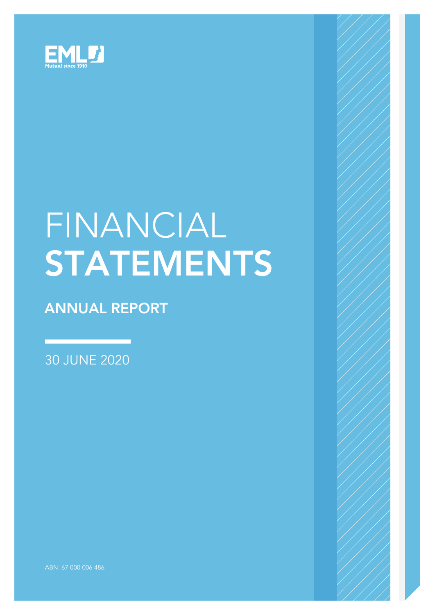

# FINANCIAL **STATEMENTS**

## ANNUAL REPORT

30 JUNE 2020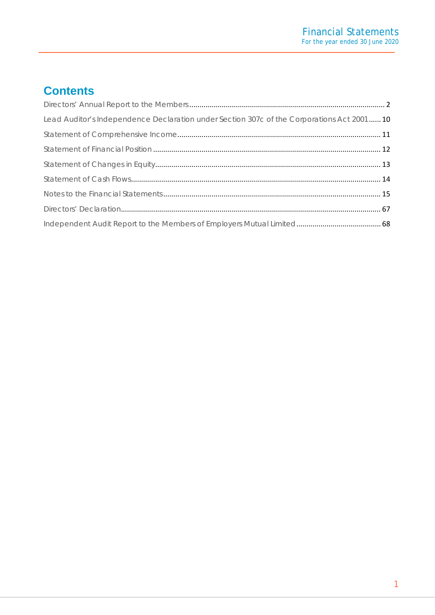## **Contents**

| Lead Auditor's Independence Declaration under Section 307c of the Corporations Act 2001  10 |  |
|---------------------------------------------------------------------------------------------|--|
|                                                                                             |  |
|                                                                                             |  |
|                                                                                             |  |
|                                                                                             |  |
|                                                                                             |  |
|                                                                                             |  |
|                                                                                             |  |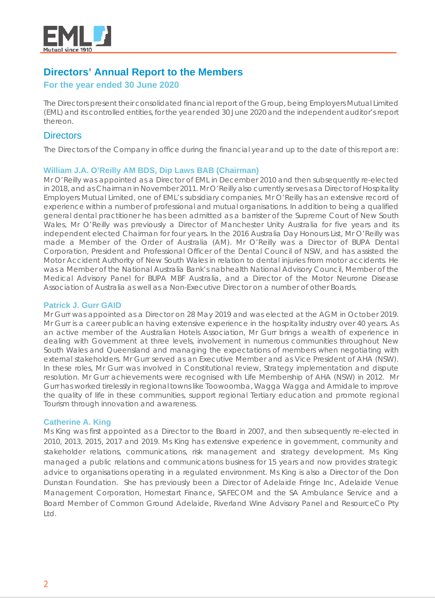

## <span id="page-2-0"></span>**Directors' Annual Report to the Members**

#### **For the year ended 30 June 2020**

The Directors present their consolidated financial report of the Group, being Employers Mutual Limited (EML) and its controlled entities, for the year ended 30 June 2020 and the independent auditor's report thereon.

#### **Directors**

The Directors of the Company in office during the financial year and up to the date of this report are:

#### **William J.A. O'Reilly AM BDS, Dip Laws BAB (Chairman)**

Mr O'Reilly was appointed as a Director of EML in December 2010 and then subsequently re-elected in 2018, and as Chairman in November 2011. Mr O'Reilly also currently serves as a Director of Hospitality Employers Mutual Limited, one of EML's subsidiary companies. Mr O'Reilly has an extensive record of experience within a number of professional and mutual organisations. In addition to being a qualified general dental practitioner he has been admitted as a barrister of the Supreme Court of New South Wales, Mr O'Reilly was previously a Director of Manchester Unity Australia for five years and its independent elected Chairman for four years. In the 2016 Australia Day Honours List, Mr O'Reilly was made a Member of the Order of Australia (AM). Mr O'Reilly was a Director of BUPA Dental Corporation, President and Professional Officer of the Dental Council of NSW, and has assisted the Motor Accident Authority of New South Wales in relation to dental injuries from motor accidents. He was a Member of the National Australia Bank's nabhealth National Advisory Council, Member of the Medical Advisory Panel for BUPA MBF Australia, and a Director of the Motor Neurone Disease Association of Australia as well as a Non-Executive Director on a number of other Boards.

#### **Patrick J. Gurr GAID**

Mr Gurr was appointed as a Director on 28 May 2019 and was elected at the AGM in October 2019. Mr Gurr is a career publican having extensive experience in the hospitality industry over 40 years. As an active member of the Australian Hotels Association, Mr Gurr brings a wealth of experience in dealing with Government at three levels, involvement in numerous communities throughout New South Wales and Queensland and managing the expectations of members when negotiating with external stakeholders. Mr Gurr served as an Executive Member and as Vice President of AHA (NSW). In these roles, Mr Gurr was involved in Constitutional review, Strategy implementation and dispute resolution. Mr Gurr achievements were recognised with Life Membership of AHA (NSW) in 2012. Mr Gurr has worked tirelessly in regional towns like Toowoomba, Wagga Wagga and Armidale to improve the quality of life in these communities, support regional Tertiary education and promote regional Tourism through innovation and awareness.

#### **Catherine A. King**

Ms King was first appointed as a Director to the Board in 2007, and then subsequently re-elected in 2010, 2013, 2015, 2017 and 2019. Ms King has extensive experience in government, community and stakeholder relations, communications, risk management and strategy development. Ms King managed a public relations and communications business for 15 years and now provides strategic advice to organisations operating in a regulated environment. Ms King is also a Director of the Don Dunstan Foundation. She has previously been a Director of Adelaide Fringe Inc, Adelaide Venue Management Corporation, Homestart Finance, SAFECOM and the SA Ambulance Service and a Board Member of Common Ground Adelaide, Riverland Wine Advisory Panel and ResourceCo Pty Ltd.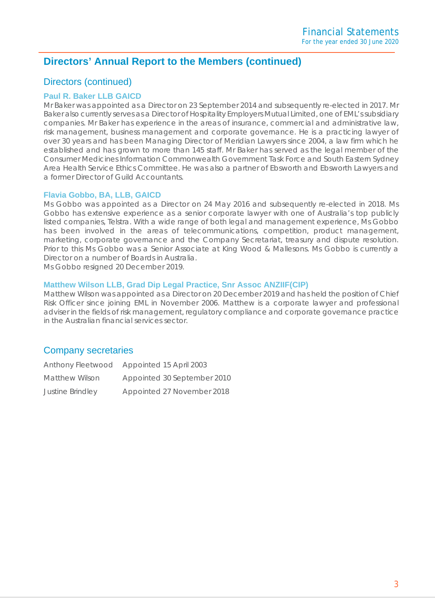#### Directors (continued)

#### **Paul R. Baker LLB GAICD**

Mr Baker was appointed as a Director on 23 September 2014 and subsequently re-elected in 2017. Mr Baker also currently serves as a Director of Hospitality Employers Mutual Limited, one of EML's subsidiary companies. Mr Baker has experience in the areas of insurance, commercial and administrative law, risk management, business management and corporate governance. He is a practicing lawyer of over 30 years and has been Managing Director of Meridian Lawyers since 2004, a law firm which he established and has grown to more than 145 staff. Mr Baker has served as the legal member of the Consumer Medicines Information Commonwealth Government Task Force and South Eastern Sydney Area Health Service Ethics Committee. He was also a partner of Ebsworth and Ebsworth Lawyers and a former Director of Guild Accountants.

#### **Flavia Gobbo, BA, LLB, GAICD**

Ms Gobbo was appointed as a Director on 24 May 2016 and subsequently re-elected in 2018. Ms Gobbo has extensive experience as a senior corporate lawyer with one of Australia's top publicly listed companies, Telstra. With a wide range of both legal and management experience, Ms Gobbo has been involved in the areas of telecommunications, competition, product management, marketing, corporate governance and the Company Secretariat, treasury and dispute resolution. Prior to this Ms Gobbo was a Senior Associate at King Wood & Mallesons. Ms Gobbo is currently a Director on a number of Boards in Australia.

Ms Gobbo resigned 20 December 2019.

#### **Matthew Wilson LLB, Grad Dip Legal Practice, Snr Assoc ANZIIF(CIP)**

Matthew Wilson was appointed as a Director on 20 December 2019 and has held the position of Chief Risk Officer since joining EML in November 2006. Matthew is a corporate lawyer and professional adviser in the fields of risk management, regulatory compliance and corporate governance practice in the Australian financial services sector.

#### Company secretaries

|                  | Anthony Fleetwood Appointed 15 April 2003 |
|------------------|-------------------------------------------|
| Matthew Wilson   | Appointed 30 September 2010               |
| Justine Brindley | Appointed 27 November 2018                |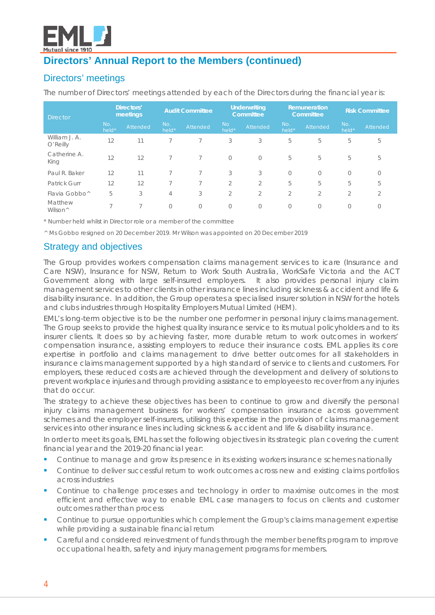

## Directors' meetings

The number of Directors' meetings attended by each of the Directors during the financial year is:

| <b>Director</b>                |              | Directors'<br><b>Audit Committee</b><br>meetings |                | <b>Underwriting</b><br>Committee |                    | Remuneration<br>Committee |                | <b>Risk Committee</b> |                |          |
|--------------------------------|--------------|--------------------------------------------------|----------------|----------------------------------|--------------------|---------------------------|----------------|-----------------------|----------------|----------|
|                                | No.<br>held* | Attended                                         | No.<br>held*   | Attended                         | <b>No</b><br>held* | Attended                  | No.<br>held*   | Attended              | No.<br>held*   | Attended |
| William J. A.<br>O'Reilly      | 12           | 11                                               |                |                                  | 3                  | 3                         | 5              | 5                     | 5              | 5        |
| Catherine A.<br>King           | 12           | 12                                               |                |                                  | $\bigcirc$         | $\circ$                   | 5              | 5                     | 5              | 5        |
| Paul R. Baker                  | 12           | 11                                               |                |                                  | 3                  | 3                         | $\overline{0}$ | $\bigcirc$            | $\bigcirc$     | $\Omega$ |
| <b>Patrick Gurr</b>            | 12           | 12                                               | ⇁              | 7                                | $\overline{2}$     | $\overline{2}$            | 5              | 5                     | 5              | 5        |
| Flavia Gobbo <sup>^</sup>      | 5            | 3                                                | $\overline{4}$ | 3                                | $\overline{2}$     | $\overline{2}$            | $\overline{2}$ | $\overline{2}$        | $\overline{2}$ | 2        |
| Matthew<br>Wilson <sup>^</sup> | ⇁            | ⇁                                                | $\Omega$       | $\Omega$                         | $\Omega$           | $\bigcirc$                | 0              | $\bigcirc$            | $\Omega$       | 0        |

*\* Number held whilst in Director role or a member of the committee*

*^ Ms Gobbo resigned on 20 December 2019. Mr Wilson was appointed on 20 December 2019*

## Strategy and objectives

The Group provides workers compensation claims management services to icare (Insurance and Care NSW), Insurance for NSW, Return to Work South Australia, WorkSafe Victoria and the ACT Government along with large self-insured employers. It also provides personal injury claim management services to other clients in other insurance lines including sickness & accident and life & disability insurance. In addition, the Group operates a specialised insurer solution in NSW for the hotels and clubs industries through Hospitality Employers Mutual Limited (HEM).

EML's long-term objective is to be the number one performer in personal injury claims management. The Group seeks to provide the highest quality insurance service to its mutual policyholders and to its insurer clients. It does so by achieving faster, more durable return to work outcomes in workers' compensation insurance, assisting employers to reduce their insurance costs. EML applies its core expertise in portfolio and claims management to drive better outcomes for all stakeholders in insurance claims management supported by a high standard of service to clients and customers. For employers, these reduced costs are achieved through the development and delivery of solutions to prevent workplace injuries and through providing assistance to employees to recover from any injuries that do occur.

The strategy to achieve these objectives has been to continue to grow and diversify the personal injury claims management business for workers' compensation insurance across government schemes and the employer self-insurers, utilising this expertise in the provision of claims management services into other insurance lines including sickness & accident and life & disability insurance.

In order to meet its goals, EML has set the following objectives in its strategic plan covering the current financial year and the 2019-20 financial year:

- Continue to manage and grow its presence in its existing workers insurance schemes nationally
- **Continue to deliver successful return to work outcomes across new and existing claims portfolios** across industries
- Continue to challenge processes and technology in order to maximise outcomes in the most efficient and effective way to enable EML case managers to focus on clients and customer outcomes rather than process
- **Continue to pursue opportunities which complement the Group's claims management expertise** while providing a sustainable financial return
- Careful and considered reinvestment of funds through the member benefits program to improve occupational health, safety and injury management programs for members.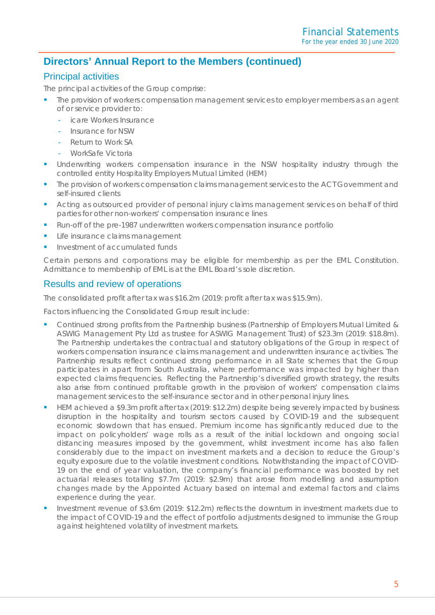#### Principal activities

The principal activities of the Group comprise:

- The provision of workers compensation management services to employer members as an agent of or service provider to:
	- icare Workers Insurance
	- Insurance for NSW
	- Return to Work SA
	- WorkSafe Victoria
- Underwriting workers compensation insurance in the NSW hospitality industry through the controlled entity Hospitality Employers Mutual Limited (HEM)
- The provision of workers compensation claims management services to the ACT Government and self-insured clients
- Acting as outsourced provider of personal injury claims management services on behalf of third parties for other non-workers' compensation insurance lines
- Run-off of the pre-1987 underwritten workers compensation insurance portfolio
- Life insurance claims management
- Investment of accumulated funds

Certain persons and corporations may be eligible for membership as per the EML Constitution. Admittance to membership of EML is at the EML Board's sole discretion.

#### Results and review of operations

The consolidated profit after tax was \$16.2m (2019: profit after tax was \$15.9m).

Factors influencing the Consolidated Group result include:

- **Continued strong profits from the Partnership business (Partnership of Employers Mutual Limited &** ASWIG Management Pty Ltd as trustee for ASWIG Management Trust) of \$23.3m (2019: \$18.8m). The Partnership undertakes the contractual and statutory obligations of the Group in respect of workers compensation insurance claims management and underwritten insurance activities. The Partnership results reflect continued strong performance in all State schemes that the Group participates in apart from South Australia, where performance was impacted by higher than expected claims frequencies. Reflecting the Partnership's diversified growth strategy, the results also arise from continued profitable growth in the provision of workers' compensation claims management services to the self-insurance sector and in other personal injury lines.
- HEM achieved a \$9.3m profit after tax (2019: \$12.2m) despite being severely impacted by business disruption in the hospitality and tourism sectors caused by COVID-19 and the subsequent economic slowdown that has ensued. Premium income has significantly reduced due to the impact on policyholders' wage rolls as a result of the initial lockdown and ongoing social distancing measures imposed by the government, whilst investment income has also fallen considerably due to the impact on investment markets and a decision to reduce the Group's equity exposure due to the volatile investment conditions. Notwithstanding the impact of COVID-19 on the end of year valuation, the company's financial performance was boosted by net actuarial releases totalling \$7.7m (2019: \$2.9m) that arose from modelling and assumption changes made by the Appointed Actuary based on internal and external factors and claims experience during the year.
- Investment revenue of \$3.6m (2019: \$12.2m) reflects the downturn in investment markets due to the impact of COVID-19 and the effect of portfolio adjustments designed to immunise the Group against heightened volatility of investment markets.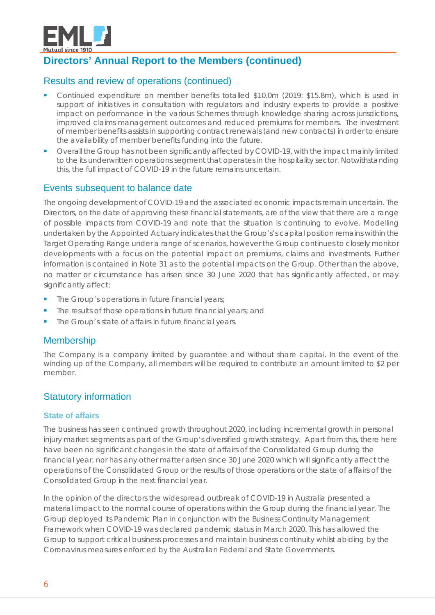

#### Results and review of operations (continued)

- Continued expenditure on member benefits totalled \$10.0m (2019: \$15.8m), which is used in support of initiatives in consultation with regulators and industry experts to provide a positive impact on performance in the various Schemes through knowledge sharing across jurisdictions, improved claims management outcomes and reduced premiums for members. The investment of member benefits assists in supporting contract renewals (and new contracts) in order to ensure the availability of member benefits funding into the future.
- Overall the Group has not been significantly affected by COVID-19, with the impact mainly limited to the its underwritten operations segment that operates in the hospitality sector. Notwithstanding this, the full impact of COVID-19 in the future remains uncertain.

#### Events subsequent to balance date

The ongoing development of COVID-19 and the associated economic impacts remain uncertain. The Directors, on the date of approving these financial statements, are of the view that there are a range of possible impacts from COVID-19 and note that the situation is continuing to evolve. Modelling undertaken by the Appointed Actuary indicates that the Group's's capital position remains within the Target Operating Range under a range of scenarios, however the Group continues to closely monitor developments with a focus on the potential impact on premiums, claims and investments. Further information is contained in Note 31 as to the potential impacts on the Group. Other than the above, no matter or circumstance has arisen since 30 June 2020 that has significantly affected, or may significantly affect:

- The Group's operations in future financial years;
- The results of those operations in future financial years; and
- The Group's state of affairs in future financial years.

#### Membership

The Company is a company limited by guarantee and without share capital. In the event of the winding up of the Company, all members will be required to contribute an amount limited to \$2 per member.

## Statutory information

#### **State of affairs**

The business has seen continued growth throughout 2020, including incremental growth in personal injury market segments as part of the Group's diversified growth strategy. Apart from this, there here have been no significant changes in the state of affairs of the Consolidated Group during the financial year, nor has any other matter arisen since 30 June 2020 which will significantly affect the operations of the Consolidated Group or the results of those operations or the state of affairs of the Consolidated Group in the next financial year.

In the opinion of the directors the widespread outbreak of COVID-19 in Australia presented a material impact to the normal course of operations within the Group during the financial year. The Group deployed its Pandemic Plan in conjunction with the Business Continuity Management Framework when COVID-19 was declared pandemic status in March 2020. This has allowed the Group to support critical business processes and maintain business continuity whilst abiding by the Coronavirus measures enforced by the Australian Federal and State Governments.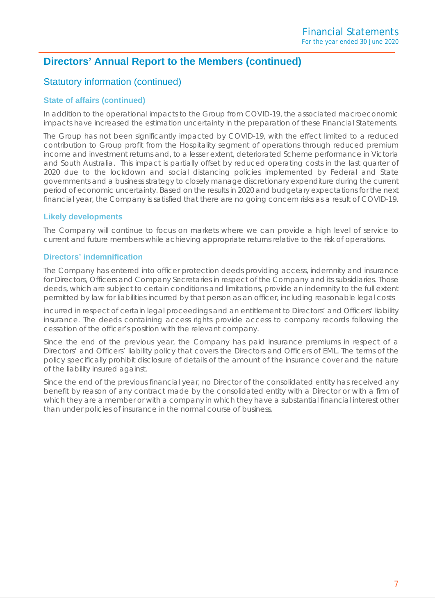#### Statutory information (continued)

#### **State of affairs (continued)**

In addition to the operational impacts to the Group from COVID-19, the associated macroeconomic impacts have increased the estimation uncertainty in the preparation of these Financial Statements.

The Group has not been significantly impacted by COVID-19, with the effect limited to a reduced contribution to Group profit from the Hospitality segment of operations through reduced premium income and investment returns and, to a lesser extent, deteriorated Scheme performance in Victoria and South Australia. This impact is partially offset by reduced operating costs in the last quarter of 2020 due to the lockdown and social distancing policies implemented by Federal and State governments and a business strategy to closely manage discretionary expenditure during the current period of economic uncertainty. Based on the results in 2020 and budgetary expectations for the next financial year, the Company is satisfied that there are no going concern risks as a result of COVID-19.

#### **Likely developments**

The Company will continue to focus on markets where we can provide a high level of service to current and future members while achieving appropriate returns relative to the risk of operations.

#### **Directors' indemnification**

The Company has entered into officer protection deeds providing access, indemnity and insurance for Directors, Officers and Company Secretaries in respect of the Company and its subsidiaries. Those deeds, which are subject to certain conditions and limitations, provide an indemnity to the full extent permitted by law for liabilities incurred by that person as an officer, including reasonable legal costs

incurred in respect of certain legal proceedings and an entitlement to Directors' and Officers' liability insurance. The deeds containing access rights provide access to company records following the cessation of the officer's position with the relevant company.

Since the end of the previous year, the Company has paid insurance premiums in respect of a Directors' and Officers' liability policy that covers the Directors and Officers of EML. The terms of the policy specifically prohibit disclosure of details of the amount of the insurance cover and the nature of the liability insured against.

Since the end of the previous financial year, no Director of the consolidated entity has received any benefit by reason of any contract made by the consolidated entity with a Director or with a firm of which they are a member or with a company in which they have a substantial financial interest other than under policies of insurance in the normal course of business.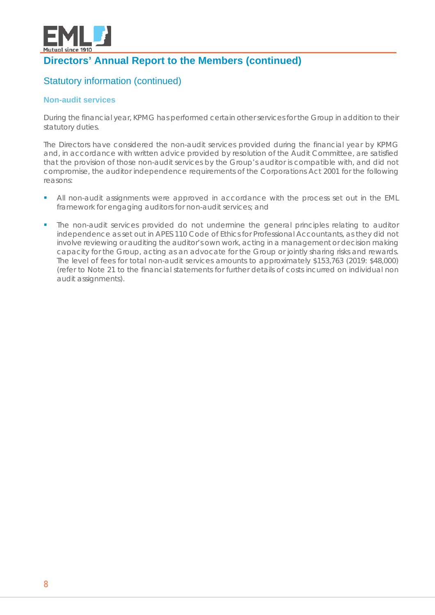

## Statutory information (continued)

#### **Non-audit services**

During the financial year, KPMG has performed certain other services for the Group in addition to their statutory duties.

The Directors have considered the non-audit services provided during the financial year by KPMG and, in accordance with written advice provided by resolution of the Audit Committee, are satisfied that the provision of those non-audit services by the Group's auditor is compatible with, and did not compromise, the auditor independence requirements of the Corporations Act 2001 for the following reasons:

- All non-audit assignments were approved in accordance with the process set out in the EML framework for engaging auditors for non-audit services; and
- The non-audit services provided do not undermine the general principles relating to auditor independence as set out in APES 110 Code of Ethics for Professional Accountants, as they did not involve reviewing or auditing the auditor's own work, acting in a management or decision making capacity for the Group, acting as an advocate for the Group or jointly sharing risks and rewards. The level of fees for total non-audit services amounts to approximately \$153,763 (2019: \$48,000) (refer to Note 21 to the financial statements for further details of costs incurred on individual non audit assignments).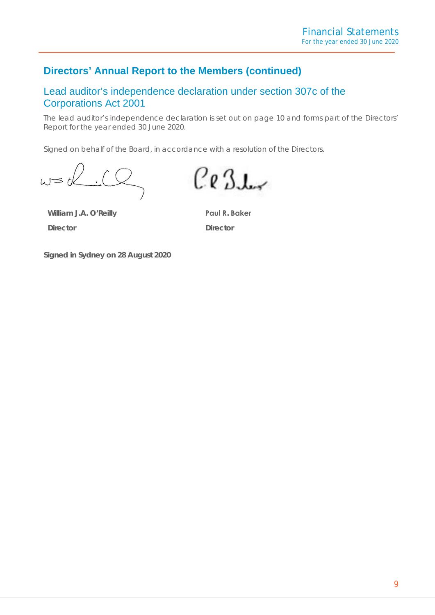## Lead auditor's independence declaration under section 307c of the Corporations Act 2001

The lead auditor's independence declaration is set out on page 10 and forms part of the Directors' Report for the year ended 30 June 2020.

Signed on behalf of the Board, in accordance with a resolution of the Directors.

**William J.A. O'Reilly Director**

 $Ce3L$ 

**Paul R. Baker Director**

**Signed in Sydney on 28 August 2020**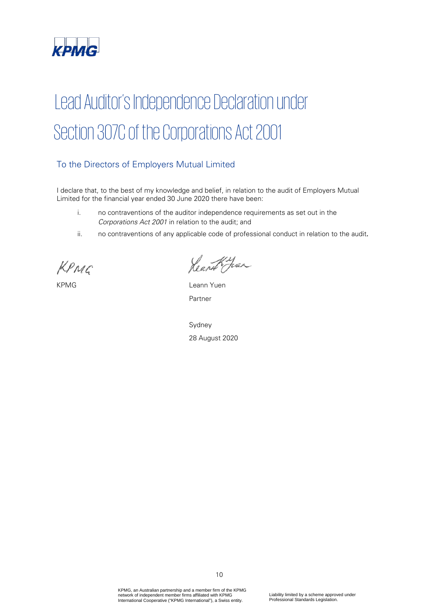

## Lead Auditor's Independence Declaration under Section 307C of the Corporations Act 2001

#### To the Directors of Employers Mutual Limited

I declare that, to the best of my knowledge and belief, in relation to the audit of Employers Mutual Limited for the financial year ended 30 June 2020 there have been:

- i. no contraventions of the auditor independence requirements as set out in the Corporations Act 2001 in relation to the audit; and
- ii. no contraventions of any applicable code of professional conduct in relation to the audit.

KPMG

Heart Jose

KPMG Leann Yuen Partner

Sydney 28 August 2020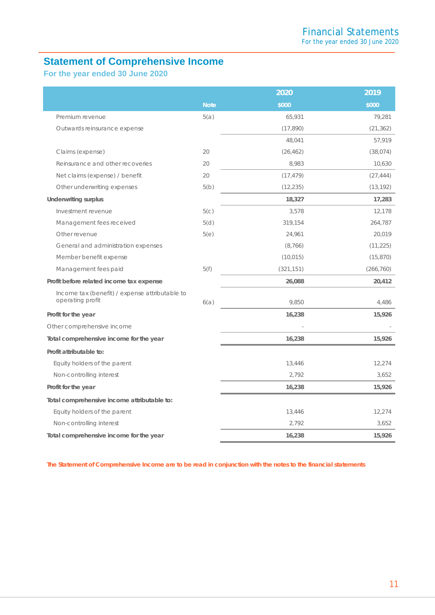## <span id="page-11-0"></span>**Statement of Comprehensive Income**

**For the year ended 30 June 2020**

|                                                                    |             | 2020       | 2019       |
|--------------------------------------------------------------------|-------------|------------|------------|
|                                                                    | <b>Note</b> | \$000      | \$000      |
| Premium revenue                                                    | 5(a)        | 65,931     | 79,281     |
| Outwards reinsurance expense                                       |             | (17, 890)  | (21, 362)  |
|                                                                    |             | 48,041     | 57,919     |
| Claims (expense)                                                   | 20          | (26, 462)  | (38, 074)  |
| Reinsurance and other recoveries                                   | 20          | 8,983      | 10,630     |
| Net claims (expense) / benefit                                     | 20          | (17, 479)  | (27, 444)  |
| Other underwriting expenses                                        | 5(b)        | (12, 235)  | (13, 192)  |
| <b>Underwriting surplus</b>                                        |             | 18,327     | 17,283     |
| Investment revenue                                                 | 5(c)        | 3,578      | 12,178     |
| Management fees received                                           | 5(d)        | 319,154    | 264,787    |
| Other revenue                                                      | 5(e)        | 24,961     | 20,019     |
| General and administration expenses                                |             | (8,766)    | (11, 225)  |
| Member benefit expense                                             |             | (10, 015)  | (15, 870)  |
| Management fees paid                                               | 5(f)        | (321, 151) | (266, 760) |
| Profit before related income tax expense                           |             | 26,088     | 20,412     |
| Income tax (benefit) / expense attributable to<br>operating profit | 6(a)        | 9,850      | 4,486      |
| Profit for the year                                                |             | 16,238     | 15,926     |
| Other comprehensive income                                         |             |            |            |
| Total comprehensive income for the year                            |             | 16,238     | 15,926     |
| Profit attributable to:                                            |             |            |            |
| Equity holders of the parent                                       |             | 13,446     | 12,274     |
| Non-controlling interest                                           |             | 2,792      | 3,652      |
| Profit for the year                                                |             | 16,238     | 15,926     |
| Total comprehensive income attributable to:                        |             |            |            |
| Equity holders of the parent                                       |             | 13,446     | 12,274     |
| Non-controlling interest                                           |             | 2,792      | 3,652      |
| Total comprehensive income for the year                            |             | 16,238     | 15,926     |

 *The Statement of Comprehensive Income are to be read in conjunction with the notes to the financial statements*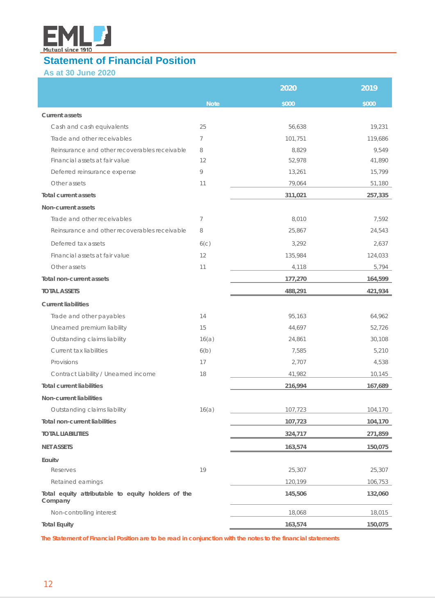

## <span id="page-12-0"></span>**Statement of Financial Position**

**As at 30 June 2020**

|                                                               |                  | 2020    | 2019    |
|---------------------------------------------------------------|------------------|---------|---------|
|                                                               | <b>Note</b>      | \$000   | \$000   |
| <b>Current assets</b>                                         |                  |         |         |
| Cash and cash equivalents                                     | 25               | 56,638  | 19,231  |
| Trade and other receivables                                   | 7                | 101,751 | 119,686 |
| Reinsurance and other recoverables receivable                 | 8                | 8.829   | 9.549   |
| Financial assets at fair value                                | 12               | 52,978  | 41,890  |
| Deferred reinsurance expense                                  | 9                | 13,261  | 15,799  |
| Other assets                                                  | 11               | 79,064  | 51,180  |
| <b>Total current assets</b>                                   |                  | 311,021 | 257,335 |
| Non-current assets                                            |                  |         |         |
| Trade and other receivables                                   | 7                | 8,010   | 7,592   |
| Reinsurance and other recoverables receivable                 | 8                | 25,867  | 24,543  |
| Deferred tax assets                                           | 6 <sub>(c)</sub> | 3,292   | 2,637   |
| Financial assets at fair value                                | 12               | 135,984 | 124,033 |
| Other assets                                                  | 11               | 4,118   | 5,794   |
| Total non-current assets                                      |                  | 177,270 | 164,599 |
| <b>TOTAL ASSETS</b>                                           |                  | 488,291 | 421,934 |
| <b>Current liabilities</b>                                    |                  |         |         |
| Trade and other payables                                      | 14               | 95,163  | 64,962  |
| Unearned premium liability                                    | 15               | 44,697  | 52,726  |
| Outstanding claims liability                                  | 16(a)            | 24,861  | 30,108  |
| Current tax liabilities                                       | 6(b)             | 7,585   | 5,210   |
| Provisions                                                    | 17               | 2,707   | 4,538   |
| Contract Liability / Unearned income                          | 18               | 41,982  | 10,145  |
| <b>Total current liabilities</b>                              |                  | 216,994 | 167,689 |
| Non-current liabilities                                       |                  |         |         |
| Outstanding claims liability                                  | 16(a)            | 107,723 | 104,170 |
| <b>Total non-current liabilities</b>                          |                  | 107,723 | 104,170 |
| <b>TOTAL LIABILITIES</b>                                      |                  | 324,717 | 271,859 |
| <b>NET ASSETS</b>                                             |                  | 163,574 | 150,075 |
| Eauitv                                                        |                  |         |         |
| Reserves                                                      | 19               | 25,307  | 25,307  |
| Retained earnings                                             |                  | 120,199 | 106,753 |
| Total equity attributable to equity holders of the<br>Company |                  | 145,506 | 132,060 |
| Non-controlling interest                                      |                  | 18,068  | 18,015  |
| <b>Total Equity</b>                                           |                  | 163,574 | 150,075 |

<span id="page-12-1"></span>*The Statement of Financial Position are to be read in conjunction with the notes to the financial statements*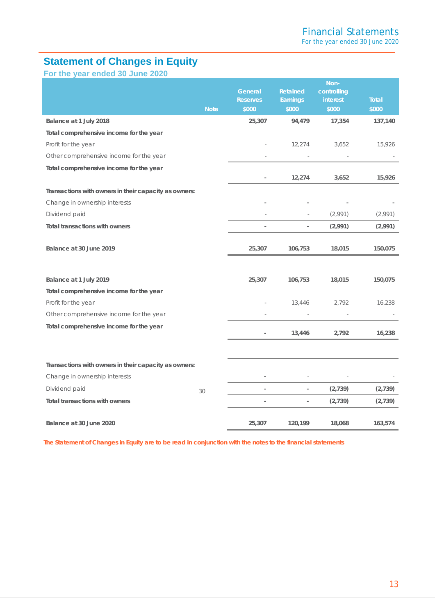## **Statement of Changes in Equity**

**For the year ended 30 June 2020**

|                                                       | <b>Note</b> | General<br><b>Reserves</b><br>\$000 | <b>Retained</b><br>Earnings<br>\$000 | Non-<br>controlling<br>interest<br>\$000 | <b>Total</b><br>\$000 |
|-------------------------------------------------------|-------------|-------------------------------------|--------------------------------------|------------------------------------------|-----------------------|
| Balance at 1 July 2018                                |             | 25,307                              | 94,479                               | 17,354                                   | 137,140               |
| Total comprehensive income for the year               |             |                                     |                                      |                                          |                       |
| Profit for the year                                   |             |                                     | 12,274                               | 3,652                                    | 15,926                |
| Other comprehensive income for the year               |             |                                     |                                      |                                          |                       |
| Total comprehensive income for the year               |             | $\overline{a}$                      | 12,274                               | 3,652                                    | 15,926                |
| Transactions with owners in their capacity as owners: |             |                                     |                                      |                                          |                       |
| Change in ownership interests                         |             |                                     |                                      |                                          |                       |
| Dividend paid                                         |             |                                     |                                      | (2,991)                                  | (2,991)               |
| Total transactions with owners                        |             | $\overline{a}$                      | $\overline{\phantom{0}}$             | (2,991)                                  | (2,991)               |
| Balance at 30 June 2019                               |             | 25,307                              | 106,753                              | 18,015                                   | 150,075               |
| Balance at 1 July 2019                                |             | 25,307                              | 106,753                              | 18,015                                   | 150,075               |
| Total comprehensive income for the year               |             |                                     |                                      |                                          |                       |
| Profit for the year                                   |             |                                     | 13,446                               | 2,792                                    | 16,238                |
| Other comprehensive income for the year               |             |                                     |                                      |                                          |                       |
| Total comprehensive income for the year               |             |                                     | 13,446                               | 2,792                                    | 16,238                |
|                                                       |             |                                     |                                      |                                          |                       |
| Transactions with owners in their capacity as owners: |             |                                     |                                      |                                          |                       |
| Change in ownership interests                         |             |                                     |                                      |                                          |                       |
| Dividend paid                                         | 30          | $\overline{\phantom{a}}$            | $\overline{\phantom{0}}$             | (2,739)                                  | (2,739)               |
| <b>Total transactions with owners</b>                 |             | $\overline{\phantom{m}}$            | $\overline{\phantom{a}}$             | (2,739)                                  | (2, 739)              |
| Balance at 30 June 2020                               |             | 25,307                              | 120,199                              | 18,068                                   | 163,574               |

*The Statement of Changes in Equity are to be read in conjunction with the notes to the financial statements*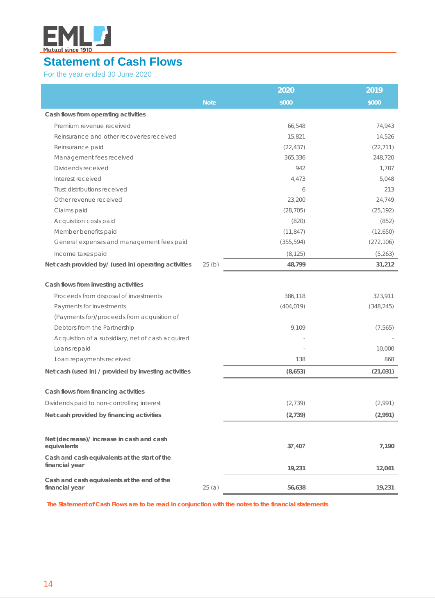

## <span id="page-14-0"></span>**Statement of Cash Flows**

For the year ended 30 June 2020

|                                                                 |             | 2020       | 2019       |
|-----------------------------------------------------------------|-------------|------------|------------|
|                                                                 | <b>Note</b> | \$000      | \$000      |
| Cash flows from operating activities                            |             |            |            |
| Premium revenue received                                        |             | 66,548     | 74,943     |
| Reinsurance and other recoveries received                       |             | 15,821     | 14,526     |
| Reinsurance paid                                                |             | (22, 437)  | (22, 711)  |
| Management fees received                                        |             | 365,336    | 248,720    |
| Dividends received                                              |             | 942        | 1,787      |
| Interest received                                               |             | 4,473      | 5,048      |
| Trust distributions received                                    |             | 6          | 213        |
| Other revenue received                                          |             | 23,200     | 24,749     |
| Claims paid                                                     |             | (28, 705)  | (25, 192)  |
| Acquisition costs paid                                          |             | (820)      | (852)      |
| Member benefits paid                                            |             | (11, 847)  | (12,650)   |
| General expenses and management fees paid                       |             | (355, 594) | (272, 106) |
| Income taxes paid                                               |             | (8, 125)   | (5, 263)   |
| Net cash provided by/ (used in) operating activities            | 25(b)       | 48,799     | 31,212     |
| Cash flows from investing activities                            |             |            |            |
| Proceeds from disposal of investments                           |             | 386,118    | 323,911    |
| Payments for investments                                        |             | (404, 019) | (348, 245) |
| (Payments for)/proceeds from acquisition of                     |             |            |            |
| Debtors from the Partnership                                    |             | 9,109      | (7, 565)   |
| Acquisition of a subsidiary, net of cash acquired               |             |            |            |
| Loans repaid                                                    |             |            | 10,000     |
| Loan repayments received                                        |             | 138        | 868        |
| Net cash (used in) / provided by investing activities           |             | (8,653)    | (21, 031)  |
| Cash flows from financing activities                            |             |            |            |
| Dividends paid to non-controlling interest                      |             | (2, 739)   | (2,991)    |
| Net cash provided by financing activities                       |             | (2, 739)   | (2,991)    |
|                                                                 |             |            |            |
| Net (decrease)/ increase in cash and cash<br>equivalents        |             | 37,407     | 7,190      |
| Cash and cash equivalents at the start of the<br>financial year |             | 19,231     | 12,041     |
| Cash and cash equivalents at the end of the<br>financial year   | 25(a)       | 56,638     | 19,231     |

 *The Statement of Cash Flows are to be read in conjunction with the notes to the financial statements*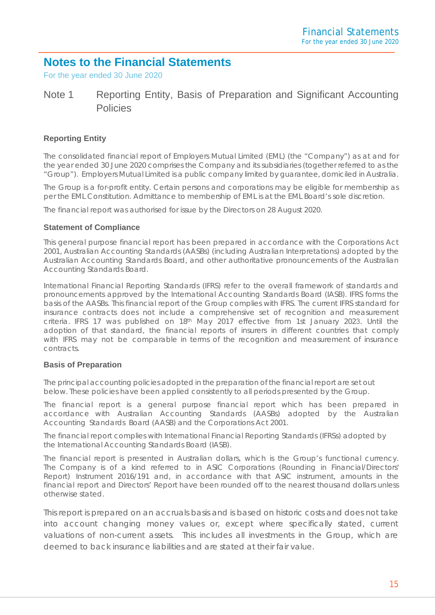## <span id="page-15-0"></span>**Notes to the Financial Statements**

For the year ended 30 June 2020

## Note 1 Reporting Entity, Basis of Preparation and Significant Accounting Policies

#### **Reporting Entity**

The consolidated financial report of Employers Mutual Limited (EML) (the "Company") as at and for the year ended 30 June 2020 comprises the Company and its subsidiaries (together referred to as the "Group"). Employers Mutual Limited is a public company limited by guarantee, domiciled in Australia.

The Group is a for-profit entity. Certain persons and corporations may be eligible for membership as per the EML Constitution. Admittance to membership of EML is at the EML Board's sole discretion.

The financial report was authorised for issue by the Directors on 28 August 2020.

#### **Statement of Compliance**

This general purpose financial report has been prepared in accordance with the Corporations Act 2001, Australian Accounting Standards (AASBs) (including Australian Interpretations) adopted by the Australian Accounting Standards Board, and other authoritative pronouncements of the Australian Accounting Standards Board.

International Financial Reporting Standards (IFRS) refer to the overall framework of standards and pronouncements approved by the International Accounting Standards Board (IASB). IFRS forms the basis of the AASBs. This financial report of the Group complies with IFRS. The current IFRS standard for insurance contracts does not include a comprehensive set of recognition and measurement criteria. IFRS 17 was published on 18th May 2017 effective from 1st January 2023. Until the adoption of that standard, the financial reports of insurers in different countries that comply with IFRS may not be comparable in terms of the recognition and measurement of insurance contracts.

#### **Basis of Preparation**

The principal accounting policies adopted in the preparation of the financial report are set out below. These policies have been applied consistently to all periods presented by the Group.

The financial report is a general purpose financial report which has been prepared in accordance with Australian Accounting Standards (AASBs) adopted by the Australian Accounting Standards Board (AASB) and the Corporations Act 2001.

The financial report complies with International Financial Reporting Standards (IFRSs) adopted by the International Accounting Standards Board (IASB).

The financial report is presented in Australian dollars, which is the Group's functional currency. The Company is of a kind referred to in ASIC Corporations (Rounding in Financial/Directors' Report) Instrument 2016/191 and, in accordance with that ASIC instrument, amounts in the financial report and Directors' Report have been rounded off to the nearest thousand dollars unless otherwise stated.

This report is prepared on an accruals basis and is based on historic costs and does not take into account changing money values or, except where specifically stated, current valuations of non-current assets. This includes all investments in the Group, which are deemed to back insurance liabilities and are stated at their fair value.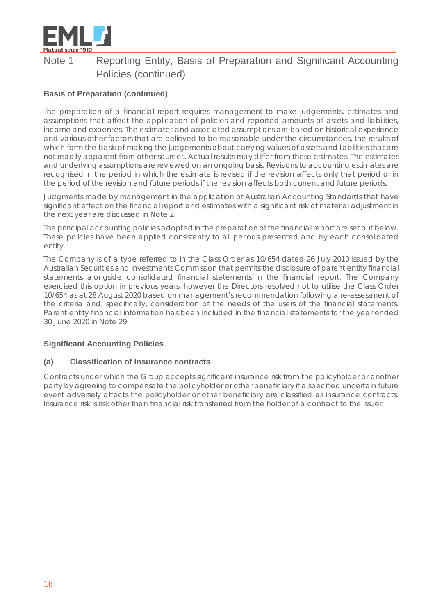

#### **Basis of Preparation (continued)**

The preparation of a financial report requires management to make judgements, estimates and assumptions that affect the application of policies and reported amounts of assets and liabilities, income and expenses. The estimates and associated assumptions are based on historical experience and various other factors that are believed to be reasonable under the circumstances, the results of which form the basis of making the judgements about carrying values of assets and liabilities that are not readily apparent from other sources. Actual results may differ from these estimates. The estimates and underlying assumptions are reviewed on an ongoing basis. Revisions to accounting estimates are recognised in the period in which the estimate is revised if the revision affects only that period or in the period of the revision and future periods if the revision affects both current and future periods.

Judgments made by management in the application of Australian Accounting Standards that have significant effect on the financial report and estimates with a significant risk of material adjustment in the next year are discussed in Note 2.

The principal accounting policies adopted in the preparation of the financial report are set out below. These policies have been applied consistently to all periods presented and by each consolidated entity.

The Company is of a type referred to in the Class Order as 10/654 dated 26 July 2010 issued by the Australian Securities and Investments Commission that permits the disclosure of parent entity financial statements alongside consolidated financial statements in the financial report. The Company exercised this option in previous years, however the Directors resolved not to utilise the Class Order 10/654 as at 28 August 2020 based on management's recommendation following a re-assessment of the criteria and, specifically, consideration of the needs of the users of the financial statements. Parent entity financial information has been included in the financial statements for the year ended 30 June 2020 in Note 29.

#### **Significant Accounting Policies**

#### **(a) Classification of insurance contracts**

Contracts under which the Group accepts significant insurance risk from the policyholder or another party by agreeing to compensate the policyholder or other beneficiary if a specified uncertain future event adversely affects the policyholder or other beneficiary are classified as insurance contracts. Insurance risk is risk other than financial risk transferred from the holder of a contract to the issuer.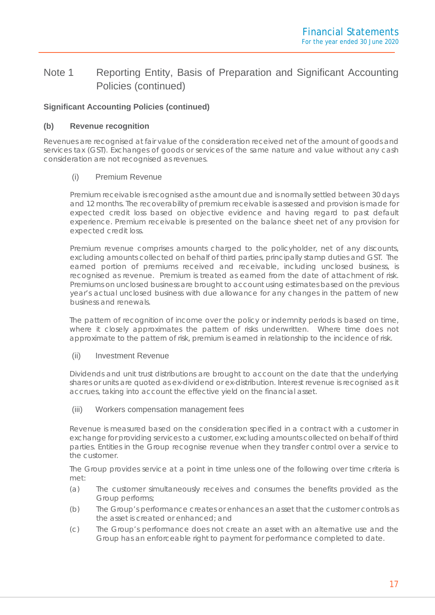#### **Significant Accounting Policies (continued)**

#### **(b) Revenue recognition**

Revenues are recognised at fair value of the consideration received net of the amount of goods and services tax (GST). Exchanges of goods or services of the same nature and value without any cash consideration are not recognised as revenues.

#### (i) Premium Revenue

Premium receivable is recognised as the amount due and is normally settled between 30 days and 12 months. The recoverability of premium receivable is assessed and provision is made for expected credit loss based on objective evidence and having regard to past default experience. Premium receivable is presented on the balance sheet net of any provision for expected credit loss.

Premium revenue comprises amounts charged to the policyholder, net of any discounts, excluding amounts collected on behalf of third parties, principally stamp duties and GST. The earned portion of premiums received and receivable, including unclosed business, is recognised as revenue. Premium is treated as earned from the date of attachment of risk. Premiums on unclosed business are brought to account using estimates based on the previous year's actual unclosed business with due allowance for any changes in the pattern of new business and renewals.

The pattern of recognition of income over the policy or indemnity periods is based on time, where it closely approximates the pattern of risks underwritten. Where time does not approximate to the pattern of risk, premium is earned in relationship to the incidence of risk.

#### (ii) Investment Revenue

Dividends and unit trust distributions are brought to account on the date that the underlying shares or units are quoted as ex-dividend or ex-distribution. Interest revenue is recognised as it accrues, taking into account the effective yield on the financial asset.

#### (iii) Workers compensation management fees

Revenue is measured based on the consideration specified in a contract with a customer in exchange for providing services to a customer, excluding amounts collected on behalf of third parties. Entities in the Group recognise revenue when they transfer control over a service to the customer.

The Group provides service at a point in time unless one of the following over time criteria is met:

- (a) The customer simultaneously receives and consumes the benefits provided as the Group performs;
- (b) The Group's performance creates or enhances an asset that the customer controls as the asset is created or enhanced; and
- (c) The Group's performance does not create an asset with an alternative use and the Group has an enforceable right to payment for performance completed to date.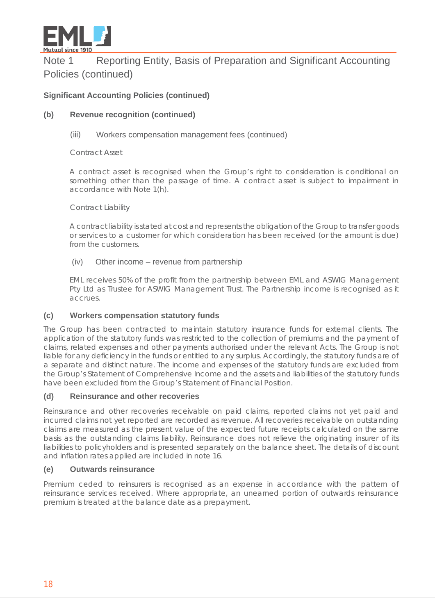

#### **Significant Accounting Policies (continued)**

#### **(b) Revenue recognition (continued)**

#### (iii) Workers compensation management fees (continued)

Contract Asset

A contract asset is recognised when the Group's right to consideration is conditional on something other than the passage of time. A contract asset is subject to impairment in accordance with Note 1(h).

#### Contract Liability

A contract liability is stated at cost and represents the obligation of the Group to transfer goods or services to a customer for which consideration has been received (or the amount is due) from the customers.

#### (iv) Other income – revenue from partnership

EML receives 50% of the profit from the partnership between EML and ASWIG Management Pty Ltd as Trustee for ASWIG Management Trust. The Partnership income is recognised as it accrues.

#### **(c) Workers compensation statutory funds**

The Group has been contracted to maintain statutory insurance funds for external clients. The application of the statutory funds was restricted to the collection of premiums and the payment of claims, related expenses and other payments authorised under the relevant Acts. The Group is not liable for any deficiency in the funds or entitled to any surplus. Accordingly, the statutory funds are of a separate and distinct nature. The income and expenses of the statutory funds are excluded from the Group's Statement of Comprehensive Income and the assets and liabilities of the statutory funds have been excluded from the Group's Statement of Financial Position.

#### **(d) Reinsurance and other recoveries**

Reinsurance and other recoveries receivable on paid claims, reported claims not yet paid and incurred claims not yet reported are recorded as revenue. All recoveries receivable on outstanding claims are measured as the present value of the expected future receipts calculated on the same basis as the outstanding claims liability. Reinsurance does not relieve the originating insurer of its liabilities to policyholders and is presented separately on the balance sheet. The details of discount and inflation rates applied are included in note 16.

#### **(e) Outwards reinsurance**

Premium ceded to reinsurers is recognised as an expense in accordance with the pattern of reinsurance services received. Where appropriate, an unearned portion of outwards reinsurance premium is treated at the balance date as a prepayment.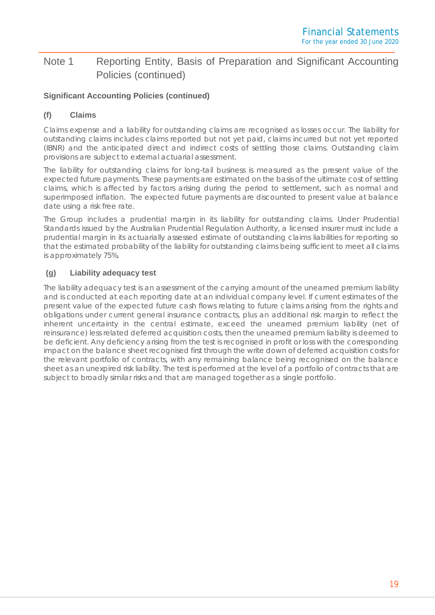#### **Significant Accounting Policies (continued)**

#### **(f) Claims**

Claims expense and a liability for outstanding claims are recognised as losses occur. The liability for outstanding claims includes claims reported but not yet paid, claims incurred but not yet reported (IBNR) and the anticipated direct and indirect costs of settling those claims. Outstanding claim provisions are subject to external actuarial assessment.

The liability for outstanding claims for long-tail business is measured as the present value of the expected future payments. These payments are estimated on the basis of the ultimate cost of settling claims, which is affected by factors arising during the period to settlement, such as normal and superimposed inflation. The expected future payments are discounted to present value at balance date using a risk free rate.

The Group includes a prudential margin in its liability for outstanding claims. Under Prudential Standards issued by the Australian Prudential Regulation Authority, a licensed insurer must include a prudential margin in its actuarially assessed estimate of outstanding claims liabilities for reporting so that the estimated probability of the liability for outstanding claims being sufficient to meet all claims is approximately 75%.

#### **(g) Liability adequacy test**

The liability adequacy test is an assessment of the carrying amount of the unearned premium liability and is conducted at each reporting date at an individual company level. If current estimates of the present value of the expected future cash flows relating to future claims arising from the rights and obligations under current general insurance contracts, plus an additional risk margin to reflect the inherent uncertainty in the central estimate, exceed the unearned premium liability (net of reinsurance) less related deferred acquisition costs, then the unearned premium liability is deemed to be deficient. Any deficiency arising from the test is recognised in profit or loss with the corresponding impact on the balance sheet recognised first through the write down of deferred acquisition costs for the relevant portfolio of contracts, with any remaining balance being recognised on the balance sheet as an unexpired risk liability. The test is performed at the level of a portfolio of contracts that are subject to broadly similar risks and that are managed together as a single portfolio.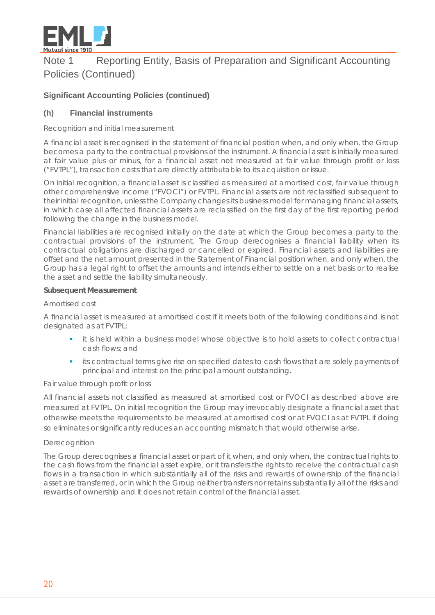

#### **Significant Accounting Policies (continued)**

#### **(h) Financial instruments**

#### *Recognition and initial measurement*

A financial asset is recognised in the statement of financial position when, and only when, the Group becomes a party to the contractual provisions of the instrument. A financial asset is initially measured at fair value plus or minus, for a financial asset not measured at fair value through profit or loss ("FVTPL"), transaction costs that are directly attributable to its acquisition or issue.

On initial recognition, a financial asset is classified as measured at amortised cost, fair value through other comprehensive income ("FVOCI") or FVTPL. Financial assets are not reclassified subsequent to their initial recognition, unless the Company changes its business model for managing financial assets, in which case all affected financial assets are reclassified on the first day of the first reporting period following the change in the business model.

Financial liabilities are recognised initially on the date at which the Group becomes a party to the contractual provisions of the instrument. The Group derecognises a financial liability when its contractual obligations are discharged or cancelled or expired. Financial assets and liabilities are offset and the net amount presented in the Statement of Financial position when, and only when, the Group has a legal right to offset the amounts and intends either to settle on a net basis or to realise the asset and settle the liability simultaneously.

#### **Subsequent Measurement**

#### *Amortised cost*

A financial asset is measured at amortised cost if it meets both of the following conditions and is not designated as at FVTPL:

- it is held within a business model whose objective is to hold assets to collect contractual cash flows; and
- its contractual terms give rise on specified dates to cash flows that are solely payments of principal and interest on the principal amount outstanding.

#### *Fair value through profit or loss*

All financial assets not classified as measured at amortised cost or FVOCI as described above are measured at FVTPL. On initial recognition the Group may irrevocably designate a financial asset that otherwise meets the requirements to be measured at amortised cost or at FVOCI as at FVTPL if doing so eliminates or significantly reduces an accounting mismatch that would otherwise arise.

#### *Derecognition*

The Group derecognises a financial asset or part of it when, and only when, the contractual rights to the cash flows from the financial asset expire, or it transfers the rights to receive the contractual cash flows in a transaction in which substantially all of the risks and rewards of ownership of the financial asset are transferred, or in which the Group neither transfers nor retains substantially all of the risks and rewards of ownership and it does not retain control of the financial asset.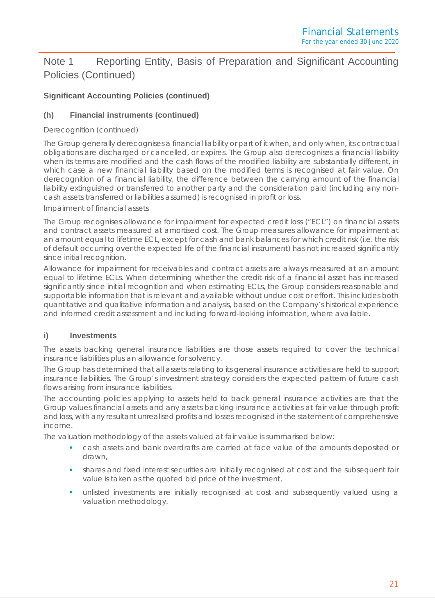#### **Significant Accounting Policies (continued)**

#### **(h) Financial instruments (continued)**

#### *Derecognition (continued)*

The Group generally derecognises a financial liability or part of it when, and only when, its contractual obligations are discharged or cancelled, or expires. The Group also derecognises a financial liability when its terms are modified and the cash flows of the modified liability are substantially different, in which case a new financial liability based on the modified terms is recognised at fair value. On derecognition of a financial liability, the difference between the carrying amount of the financial liability extinguished or transferred to another party and the consideration paid (including any noncash assets transferred or liabilities assumed) is recognised in profit or loss.

#### *Impairment of financial assets*

The Group recognises allowance for impairment for expected credit loss ("ECL") on financial assets and contract assets measured at amortised cost. The Group measures allowance for impairment at an amount equal to lifetime ECL, except for cash and bank balances for which credit risk (i.e. the risk of default occurring over the expected life of the financial instrument) has not increased significantly since initial recognition.

Allowance for impairment for receivables and contract assets are always measured at an amount equal to lifetime ECLs. When determining whether the credit risk of a financial asset has increased significantly since initial recognition and when estimating ECLs, the Group considers reasonable and supportable information that is relevant and available without undue cost or effort. This includes both quantitative and qualitative information and analysis, based on the Company's historical experience and informed credit assessment and including forward-looking information, where available.

#### **i) Investments**

The assets backing general insurance liabilities are those assets required to cover the technical insurance liabilities plus an allowance for solvency.

The Group has determined that all assets relating to its general insurance activities are held to support insurance liabilities. The Group's investment strategy considers the expected pattern of future cash flows arising from insurance liabilities.

The accounting policies applying to assets held to back general insurance activities are that the Group values financial assets and any assets backing insurance activities at fair value through profit and loss, with any resultant unrealised profits and losses recognised in the statement of comprehensive income.

The valuation methodology of the assets valued at fair value is summarised below:

- cash assets and bank overdrafts are carried at face value of the amounts deposited or drawn,
- shares and fixed interest securities are initially recognised at cost and the subsequent fair value is taken as the quoted bid price of the investment,
- unlisted investments are initially recognised at cost and subsequently valued using a valuation methodology.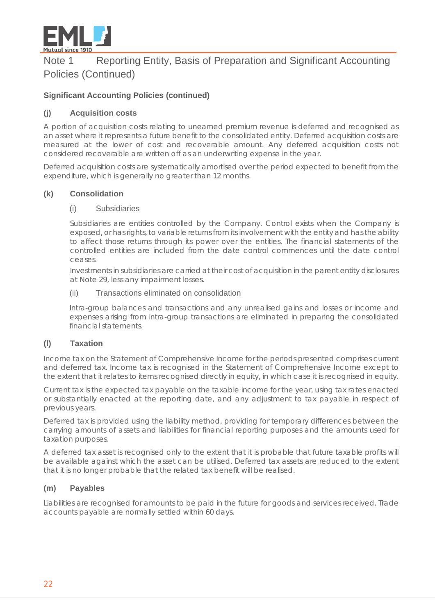

#### **Significant Accounting Policies (continued)**

#### **(j) Acquisition costs**

A portion of acquisition costs relating to unearned premium revenue is deferred and recognised as an asset where it represents a future benefit to the consolidated entity. Deferred acquisition costs are measured at the lower of cost and recoverable amount. Any deferred acquisition costs not considered recoverable are written off as an underwriting expense in the year.

Deferred acquisition costs are systematically amortised over the period expected to benefit from the expenditure, which is generally no greater than 12 months.

#### **(k) Consolidation**

#### (i) Subsidiaries

Subsidiaries are entities controlled by the Company. Control exists when the Company is exposed, or has rights, to variable returns from its involvement with the entity and has the ability to affect those returns through its power over the entities. The financial statements of the controlled entities are included from the date control commences until the date control ceases.

Investments in subsidiaries are carried at their cost of acquisition in the parent entity disclosures at Note 29, less any impairment losses.

#### (ii) Transactions eliminated on consolidation

Intra-group balances and transactions and any unrealised gains and losses or income and expenses arising from intra-group transactions are eliminated in preparing the consolidated financial statements.

#### **(l) Taxation**

Income tax on the Statement of Comprehensive Income for the periods presented comprises current and deferred tax. Income tax is recognised in the Statement of Comprehensive Income except to the extent that it relates to items recognised directly in equity, in which case it is recognised in equity.

Current tax is the expected tax payable on the taxable income for the year, using tax rates enacted or substantially enacted at the reporting date, and any adjustment to tax payable in respect of previous years.

Deferred tax is provided using the liability method, providing for temporary differences between the carrying amounts of assets and liabilities for financial reporting purposes and the amounts used for taxation purposes.

A deferred tax asset is recognised only to the extent that it is probable that future taxable profits will be available against which the asset can be utilised. Deferred tax assets are reduced to the extent that it is no longer probable that the related tax benefit will be realised.

#### **(m) Payables**

Liabilities are recognised for amounts to be paid in the future for goods and services received. Trade accounts payable are normally settled within 60 days.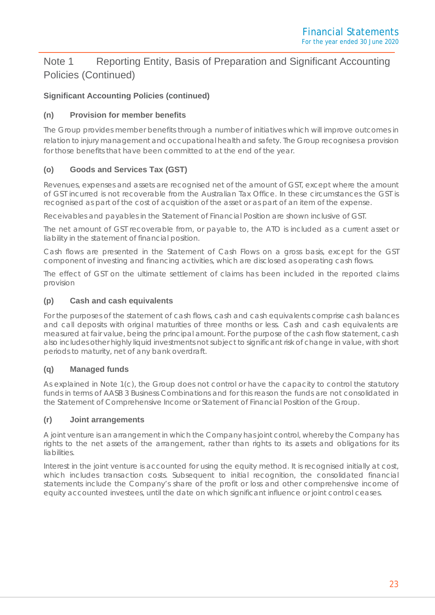#### **Significant Accounting Policies (continued)**

#### **(n) Provision for member benefits**

The Group provides member benefits through a number of initiatives which will improve outcomes in relation to injury management and occupational health and safety. The Group recognises a provision for those benefits that have been committed to at the end of the year.

#### **(o) Goods and Services Tax (GST)**

Revenues, expenses and assets are recognised net of the amount of GST, except where the amount of GST incurred is not recoverable from the Australian Tax Office. In these circumstances the GST is recognised as part of the cost of acquisition of the asset or as part of an item of the expense.

Receivables and payables in the Statement of Financial Position are shown inclusive of GST.

The net amount of GST recoverable from, or payable to, the ATO is included as a current asset or liability in the statement of financial position.

Cash flows are presented in the Statement of Cash Flows on a gross basis, except for the GST component of investing and financing activities, which are disclosed as operating cash flows.

The effect of GST on the ultimate settlement of claims has been included in the reported claims provision

#### **(p) Cash and cash equivalents**

For the purposes of the statement of cash flows, cash and cash equivalents comprise cash balances and call deposits with original maturities of three months or less. Cash and cash equivalents are measured at fair value, being the principal amount. For the purpose of the cash flow statement, cash also includes other highly liquid investments not subject to significant risk of change in value, with short periods to maturity, net of any bank overdraft.

#### **(q) Managed funds**

As explained in Note 1(c), the Group does not control or have the capacity to control the statutory funds in terms of AASB 3 Business Combinations and for this reason the funds are not consolidated in the Statement of Comprehensive Income or Statement of Financial Position of the Group.

#### **(r) Joint arrangements**

A joint venture is an arrangement in which the Company has joint control, whereby the Company has rights to the net assets of the arrangement, rather than rights to its assets and obligations for its liabilities.

Interest in the joint venture is accounted for using the equity method. It is recognised initially at cost, which includes transaction costs. Subsequent to initial recognition, the consolidated financial statements include the Company's share of the profit or loss and other comprehensive income of equity accounted investees, until the date on which significant influence or joint control ceases.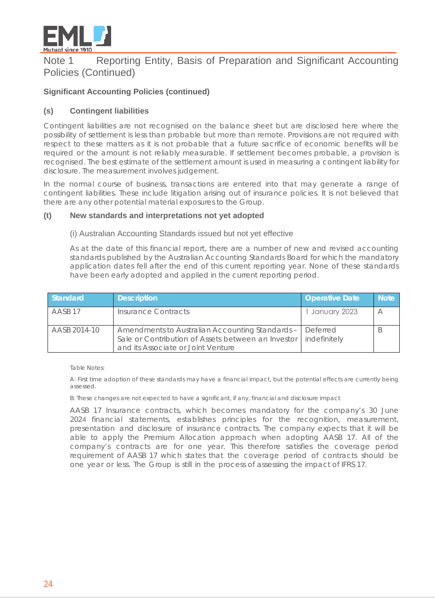

#### **Significant Accounting Policies (continued)**

#### **(s) Contingent liabilities**

Contingent liabilities are not recognised on the balance sheet but are disclosed here where the possibility of settlement is less than probable but more than remote. Provisions are not required with respect to these matters as it is not probable that a future sacrifice of economic benefits will be required or the amount is not reliably measurable. If settlement becomes probable, a provision is recognised. The best estimate of the settlement amount is used in measuring a contingent liability for disclosure. The measurement involves judgement.

In the normal course of business, transactions are entered into that may generate a range of contingent liabilities. These include litigation arising out of insurance policies. It is not believed that there are any other potential material exposures to the Group.

#### **(t) New standards and interpretations not yet adopted**

#### (i) Australian Accounting Standards issued but not yet effective

As at the date of this financial report, there are a number of new and revised accounting standards published by the Australian Accounting Standards Board for which the mandatory application dates fell after the end of this current reporting year. None of these standards have been early adopted and applied in the current reporting period.

| Standard           | <b>Description</b>                                                                                                                          | <b>Operative Date</b>    | <b>Note</b>              |
|--------------------|---------------------------------------------------------------------------------------------------------------------------------------------|--------------------------|--------------------------|
| AASB <sub>17</sub> | Insurance Contracts                                                                                                                         | January 2023             | $\overline{\phantom{a}}$ |
| AASB 2014-10       | Amendments to Australian Accounting Standards -<br>Sale or Contribution of Assets between an Investor<br>and its Associate or Joint Venture | Deferred<br>indefinitely |                          |

Table Notes:

A: First time adoption of these standards may have a financial impact, but the potential effects are currently being assessed.

B: These changes are not expected to have a significant, if any, financial and disclosure impact

AASB 17 Insurance contracts, which becomes mandatory for the company's 30 June 2024 financial statements, establishes principles for the recognition, measurement, presentation and disclosure of insurance contracts. The company expects that it will be able to apply the Premium Allocation approach when adopting AASB 17. All of the company's contracts are for one year. This therefore satisfies the coverage period requirement of AASB 17 which states that the coverage period of contracts should be one year or less. The Group is still in the process of assessing the impact of IFRS 17.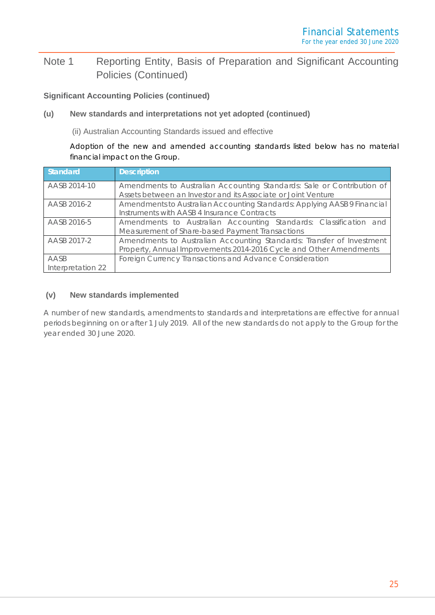#### **Significant Accounting Policies (continued)**

#### **(u) New standards and interpretations not yet adopted (continued)**

(ii) Australian Accounting Standards issued and effective

Adoption of the new and amended accounting standards listed below has no material financial impact on the Group.

| Standard                  | <b>Description</b>                                                                                                                          |  |  |  |  |  |
|---------------------------|---------------------------------------------------------------------------------------------------------------------------------------------|--|--|--|--|--|
| AASB 2014-10              | Amendments to Australian Accounting Standards: Sale or Contribution of<br>Assets between an Investor and its Associate or Joint Venture     |  |  |  |  |  |
| AASB 2016-2               | Amendments to Australian Accounting Standards: Applying AASB 9 Financial<br>Instruments with AASB 4 Insurance Contracts                     |  |  |  |  |  |
| AASB 2016-5               | Amendments to Australian Accounting Standards: Classification and<br>Measurement of Share-based Payment Transactions                        |  |  |  |  |  |
| AASB 2017-2               | Amendments to Australian Accounting Standards: Transfer of Investment<br>Property, Annual Improvements 2014-2016 Cycle and Other Amendments |  |  |  |  |  |
| AASB<br>Interpretation 22 | Foreign Currency Transactions and Advance Consideration                                                                                     |  |  |  |  |  |

#### **(v) New standards implemented**

A number of new standards, amendments to standards and interpretations are effective for annual periods beginning on or after 1 July 2019. All of the new standards do not apply to the Group for the year ended 30 June 2020.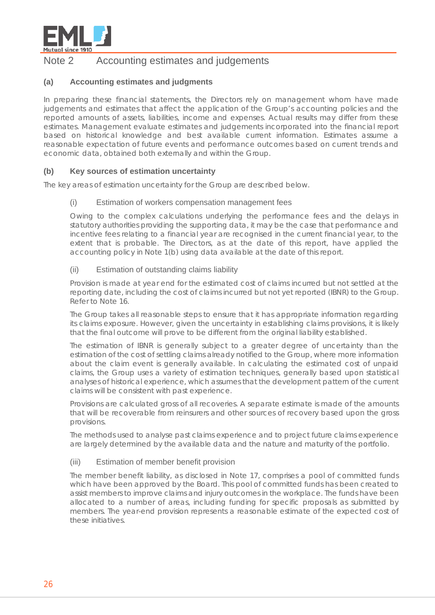

## Note 2 Accounting estimates and judgements

#### **(a) Accounting estimates and judgments**

In preparing these financial statements, the Directors rely on management whom have made judgements and estimates that affect the application of the Group's accounting policies and the reported amounts of assets, liabilities, income and expenses. Actual results may differ from these estimates. Management evaluate estimates and judgements incorporated into the financial report based on historical knowledge and best available current information. Estimates assume a reasonable expectation of future events and performance outcomes based on current trends and economic data, obtained both externally and within the Group.

#### **(b) Key sources of estimation uncertainty**

The key areas of estimation uncertainty for the Group are described below.

#### (i) Estimation of workers compensation management fees

Owing to the complex calculations underlying the performance fees and the delays in statutory authorities providing the supporting data, it may be the case that performance and incentive fees relating to a financial year are recognised in the current financial year, to the extent that is probable. The Directors, as at the date of this report, have applied the accounting policy in Note 1(b) using data available at the date of this report.

#### (ii) Estimation of outstanding claims liability

Provision is made at year end for the estimated cost of claims incurred but not settled at the reporting date, including the cost of claims incurred but not yet reported (IBNR) to the Group. Refer to Note 16.

The Group takes all reasonable steps to ensure that it has appropriate information regarding its claims exposure. However, given the uncertainty in establishing claims provisions, it is likely that the final outcome will prove to be different from the original liability established.

The estimation of IBNR is generally subject to a greater degree of uncertainty than the estimation of the cost of settling claims already notified to the Group, where more information about the claim event is generally available. In calculating the estimated cost of unpaid claims, the Group uses a variety of estimation techniques, generally based upon statistical analyses of historical experience, which assumes that the development pattern of the current claims will be consistent with past experience.

Provisions are calculated gross of all recoveries. A separate estimate is made of the amounts that will be recoverable from reinsurers and other sources of recovery based upon the gross provisions.

The methods used to analyse past claims experience and to project future claims experience are largely determined by the available data and the nature and maturity of the portfolio.

#### (iii) Estimation of member benefit provision

The member benefit liability, as disclosed in Note 17, comprises a pool of committed funds which have been approved by the Board. This pool of committed funds has been created to assist members to improve claims and injury outcomes in the workplace. The funds have been allocated to a number of areas, including funding for specific proposals as submitted by members. The year-end provision represents a reasonable estimate of the expected cost of these initiatives.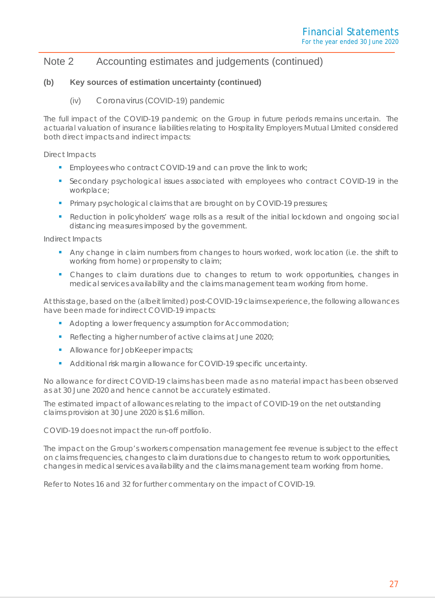## Note 2 Accounting estimates and judgements (continued)

#### **(b) Key sources of estimation uncertainty (continued)**

#### (iv) Coronavirus (COVID-19) pandemic

The full impact of the COVID-19 pandemic on the Group in future periods remains uncertain. The actuarial valuation of insurance liabilities relating to Hospitality Employers Mutual LImited considered both direct impacts and indirect impacts:

Direct Impacts

- **Employees who contract COVID-19 and can prove the link to work;**
- Secondary psychological issues associated with employees who contract COVID-19 in the workplace;
- **Primary psychological claims that are brought on by COVID-19 pressures;**
- **Reduction in policyholders' wage rolls as a result of the initial lockdown and ongoing social** distancing measures imposed by the government.

Indirect Impacts

- Any change in claim numbers from changes to hours worked, work location (i.e. the shift to working from home) or propensity to claim;
- Changes to claim durations due to changes to return to work opportunities, changes in medical services availability and the claims management team working from home.

At this stage, based on the (albeit limited) post-COVID-19 claims experience, the following allowances have been made for indirect COVID-19 impacts:

- Adopting a lower frequency assumption for Accommodation;
- Reflecting a higher number of active claims at June 2020;
- Allowance for JobKeeper impacts;
- Additional risk margin allowance for COVID-19 specific uncertainty.

No allowance for direct COVID-19 claims has been made as no material impact has been observed as at 30 June 2020 and hence cannot be accurately estimated.

The estimated impact of allowances relating to the impact of COVID-19 on the net outstanding claims provision at 30 June 2020 is \$1.6 million.

COVID-19 does not impact the run-off portfolio.

The impact on the Group's workers compensation management fee revenue is subject to the effect on claims frequencies, changes to claim durations due to changes to return to work opportunities, changes in medical services availability and the claims management team working from home.

Refer to Notes 16 and 32 for further commentary on the impact of COVID-19.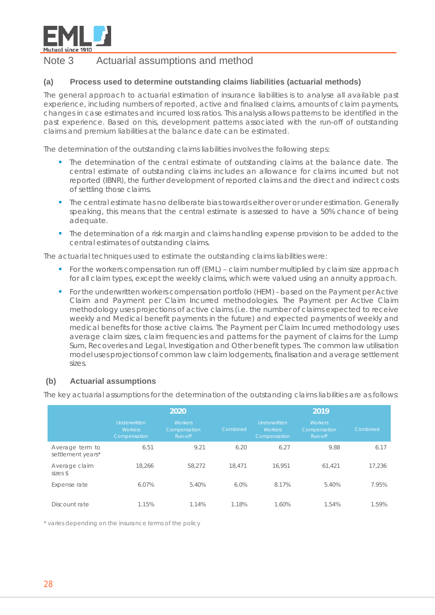

### Note 3 Actuarial assumptions and method

#### **(a) Process used to determine outstanding claims liabilities (actuarial methods)**

The general approach to actuarial estimation of insurance liabilities is to analyse all available past experience, including numbers of reported, active and finalised claims, amounts of claim payments, changes in case estimates and incurred loss ratios. This analysis allows patterns to be identified in the past experience. Based on this, development patterns associated with the run-off of outstanding claims and premium liabilities at the balance date can be estimated.

The determination of the outstanding claims liabilities involves the following steps:

- The determination of the central estimate of outstanding claims at the balance date. The central estimate of outstanding claims includes an allowance for claims incurred but not reported (IBNR), the further development of reported claims and the direct and indirect costs of settling those claims.
- **The central estimate has no deliberate bias towards either over or under estimation. Generally** speaking, this means that the central estimate is assessed to have a 50% chance of being adequate.
- **The determination of a risk margin and claims handling expense provision to be added to the** central estimates of outstanding claims.

The actuarial techniques used to estimate the outstanding claims liabilities were:

- For the workers compensation run off (EML) claim number multiplied by claim size approach for all claim types, except the weekly claims, which were valued using an annuity approach.
- For the underwritten workers compensation portfolio (HEM) based on the Payment per Active Claim and Payment per Claim Incurred methodologies. The Payment per Active Claim methodology uses projections of active claims (i.e. the number of claims expected to receive weekly and Medical benefit payments in the future) and expected payments of weekly and medical benefits for those active claims. The Payment per Claim Incurred methodology uses average claim sizes, claim frequencies and patterns for the payment of claims for the Lump Sum, Recoveries and Legal, Investigation and Other benefit types. The common law utilisation model uses projections of common law claim lodgements, finalisation and average settlement sizes.

#### **(b) Actuarial assumptions**

The key actuarial assumptions for the determination of the outstanding claims liabilities are as follows:

|                                      |                                                       | 2019                                      |          |                                                       |                                           |          |
|--------------------------------------|-------------------------------------------------------|-------------------------------------------|----------|-------------------------------------------------------|-------------------------------------------|----------|
|                                      | <b>Underwritten</b><br><b>Workers</b><br>Compensation | <b>Workers</b><br>Compensation<br>Run-off | Combined | <b>Underwritten</b><br><b>Workers</b><br>Compensation | <b>Workers</b><br>Compensation<br>Run-off | Combined |
| Average term to<br>settlement years* | 6.51                                                  | 9.21                                      | 6.20     | 6.27                                                  | 9.88                                      | 6.17     |
| Average claim<br>sizes \$            | 18,266                                                | 58,272                                    | 18.471   | 16.951                                                | 61.421                                    | 17.236   |
| Expense rate                         | 6.07%                                                 | 5.40%                                     | 6.0%     | 8.17%                                                 | 5.40%                                     | 7.95%    |
| Discount rate                        | 1.15%                                                 | 1.14%                                     | 1.18%    | 1.60%                                                 | 1.54%                                     | 1.59%    |

*\* varies depending on the insurance terms of the policy*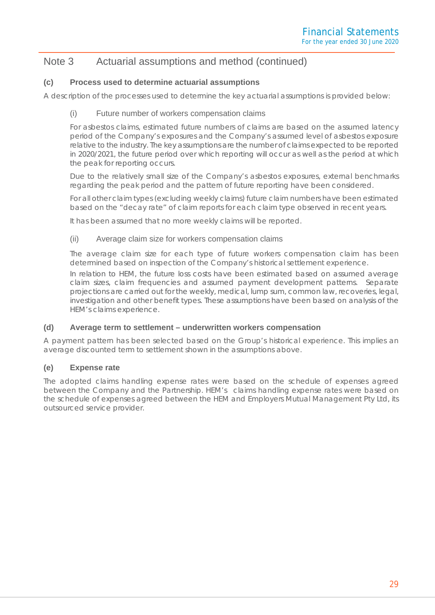## Note 3 Actuarial assumptions and method (continued)

#### **(c) Process used to determine actuarial assumptions**

A description of the processes used to determine the key actuarial assumptions is provided below:

#### (i) Future number of workers compensation claims

For asbestos claims, estimated future numbers of claims are based on the assumed latency period of the Company's exposures and the Company's assumed level of asbestos exposure relative to the industry. The key assumptions are the number of claims expected to be reported in 2020/2021, the future period over which reporting will occur as well as the period at which the peak for reporting occurs.

Due to the relatively small size of the Company's asbestos exposures, external benchmarks regarding the peak period and the pattern of future reporting have been considered.

For all other claim types (excluding weekly claims) future claim numbers have been estimated based on the "decay rate" of claim reports for each claim type observed in recent years.

It has been assumed that no more weekly claims will be reported.

#### (ii) Average claim size for workers compensation claims

The average claim size for each type of future workers compensation claim has been determined based on inspection of the Company's historical settlement experience.

In relation to HEM, the future loss costs have been estimated based on assumed average claim sizes, claim frequencies and assumed payment development patterns. Separate projections are carried out for the weekly, medical, lump sum, common law, recoveries, legal, investigation and other benefit types. These assumptions have been based on analysis of the HEM's claims experience.

#### **(d) Average term to settlement – underwritten workers compensation**

A payment pattern has been selected based on the Group's historical experience. This implies an average discounted term to settlement shown in the assumptions above.

#### **(e) Expense rate**

The adopted claims handling expense rates were based on the schedule of expenses agreed between the Company and the Partnership. HEM's claims handling expense rates were based on the schedule of expenses agreed between the HEM and Employers Mutual Management Pty Ltd, its outsourced service provider.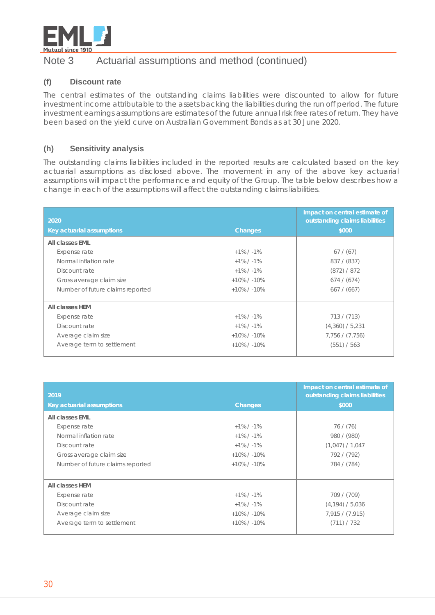

## Note 3 Actuarial assumptions and method (continued)

#### **(f) Discount rate**

The central estimates of the outstanding claims liabilities were discounted to allow for future investment income attributable to the assets backing the liabilities during the run off period. The future investment earnings assumptions are estimates of the future annual risk free rates of return. They have been based on the yield curve on Australian Government Bonds as at 30 June 2020.

#### **(h) Sensitivity analysis**

The outstanding claims liabilities included in the reported results are calculated based on the key actuarial assumptions as disclosed above. The movement in any of the above key actuarial assumptions will impact the performance and equity of the Group. The table below describes how a change in each of the assumptions will affect the outstanding claims liabilities.

| 2020<br>Key actuarial assumptions | <b>Changes</b>  | Impact on central estimate of<br>outstanding claims liabilities<br>\$000 |
|-----------------------------------|-----------------|--------------------------------------------------------------------------|
| All classes EML                   |                 |                                                                          |
| Expense rate                      | $+1\%$ / -1%    | 67 / (67)                                                                |
| Normal inflation rate             | $+1\%$ / $-1\%$ | 837 / (837)                                                              |
| Discount rate                     | $+1\%$ / $-1\%$ | (872) / 872                                                              |
| Gross average claim size          | $+10\%$ / -10%  | 674 / (674)                                                              |
| Number of future claims reported  | $+10\%$ / -10%  | 667 / (667)                                                              |
| All classes HEM                   |                 |                                                                          |
| Expense rate                      | $+1\%$ / $-1\%$ | 713 / (713)                                                              |
| Discount rate                     | $+1\%$ / $-1\%$ | (4,360) / 5,231                                                          |
| Average claim size                | $+10\%$ / -10%  | 7,756 / (7,756)                                                          |
| Average term to settlement        | $+10\%$ / -10%  | (551) / 563                                                              |

| 2019                             |                 | Impact on central estimate of<br>outstanding claims liabilities |
|----------------------------------|-----------------|-----------------------------------------------------------------|
| Key actuarial assumptions        | <b>Changes</b>  | \$000                                                           |
| All classes EML                  |                 |                                                                 |
| Expense rate                     | $+1\%$ / $-1\%$ | 76 / (76)                                                       |
| Normal inflation rate            | $+1\%$ / -1%    | 980 / (980)                                                     |
| Discount rate                    | $+1\%$ / $-1\%$ | (1,047) / 1,047                                                 |
| Gross average claim size         | $+10\%$ / -10%  | 792 / (792)                                                     |
| Number of future claims reported | $+10\%$ / -10%  | 784 / (784)                                                     |
|                                  |                 |                                                                 |
| All classes HEM                  |                 |                                                                 |
| Expense rate                     | $+1\%$ / $-1\%$ | 709 / (709)                                                     |
| Discount rate                    | $+1\%$ / $-1\%$ | (4, 194) / 5,036                                                |
| Average claim size               | $+10\%$ / -10%  | 7,915 / (7,915)                                                 |
| Average term to settlement       | $+10\%$ / -10%  | (711) / 732                                                     |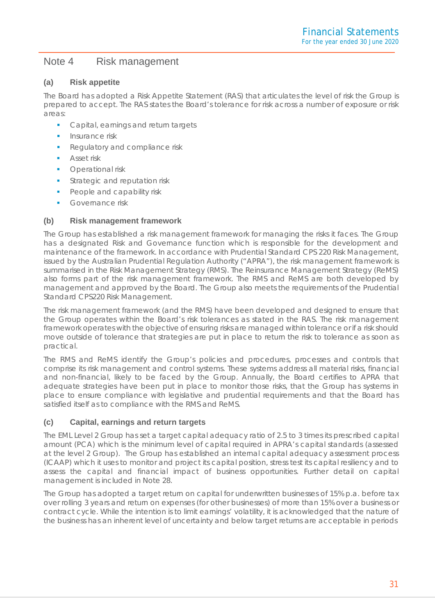#### Note 4 Risk management

#### **(a) Risk appetite**

The Board has adopted a Risk Appetite Statement (RAS) that articulates the level of risk the Group is prepared to accept. The RAS states the Board's tolerance for risk across a number of exposure or risk areas:

- **Capital, earnings and return targets**
- **Insurance risk**
- Regulatory and compliance risk
- Asset risk
- **•** Operational risk
- Strategic and reputation risk
- People and capability risk
- Governance risk

#### **(b) Risk management framework**

The Group has established a risk management framework for managing the risks it faces. The Group has a designated Risk and Governance function which is responsible for the development and maintenance of the framework. In accordance with Prudential Standard CPS 220 Risk Management, issued by the Australian Prudential Regulation Authority ("APRA"), the risk management framework is summarised in the Risk Management Strategy (RMS). The Reinsurance Management Strategy (ReMS) also forms part of the risk management framework. The RMS and ReMS are both developed by management and approved by the Board. The Group also meets the requirements of the Prudential Standard CPS220 Risk Management.

The risk management framework (and the RMS) have been developed and designed to ensure that the Group operates within the Board's risk tolerances as stated in the RAS. The risk management framework operates with the objective of ensuring risks are managed within tolerance or if a risk should move outside of tolerance that strategies are put in place to return the risk to tolerance as soon as practical.

The RMS and ReMS identify the Group's policies and procedures, processes and controls that comprise its risk management and control systems. These systems address all material risks, financial and non-financial, likely to be faced by the Group. Annually, the Board certifies to APRA that adequate strategies have been put in place to monitor those risks, that the Group has systems in place to ensure compliance with legislative and prudential requirements and that the Board has satisfied itself as to compliance with the RMS and ReMS.

#### **(c) Capital, earnings and return targets**

The EML Level 2 Group has set a target capital adequacy ratio of 2.5 to 3 times its prescribed capital amount (PCA) which is the minimum level of capital required in APRA's capital standards (assessed at the level 2 Group). The Group has established an internal capital adequacy assessment process (ICAAP) which it uses to monitor and project its capital position, stress test its capital resiliency and to assess the capital and financial impact of business opportunities. Further detail on capital management is included in Note 28.

The Group has adopted a target return on capital for underwritten businesses of 15% p.a. before tax over rolling 3 years and return on expenses (for other businesses) of more than 15% over a business or contract cycle. While the intention is to limit earnings' volatility, it is acknowledged that the nature of the business has an inherent level of uncertainty and below target returns are acceptable in periods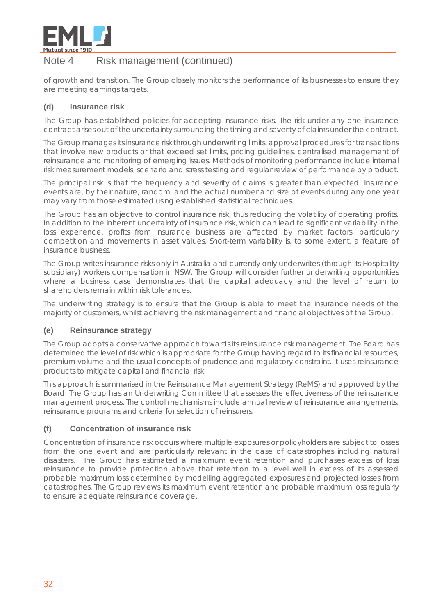

## Note 4 Risk management (continued)

of growth and transition. The Group closely monitors the performance of its businesses to ensure they are meeting earnings targets.

#### **(d) Insurance risk**

The Group has established policies for accepting insurance risks. The risk under any one insurance contract arises out of the uncertainty surrounding the timing and severity of claims under the contract.

The Group manages its insurance risk through underwriting limits, approval procedures for transactions that involve new products or that exceed set limits, pricing guidelines, centralised management of reinsurance and monitoring of emerging issues. Methods of monitoring performance include internal risk measurement models, scenario and stress testing and regular review of performance by product.

The principal risk is that the frequency and severity of claims is greater than expected. Insurance events are, by their nature, random, and the actual number and size of events during any one year may vary from those estimated using established statistical techniques.

The Group has an objective to control insurance risk, thus reducing the volatility of operating profits. In addition to the inherent uncertainty of insurance risk, which can lead to significant variability in the loss experience, profits from insurance business are affected by market factors, particularly competition and movements in asset values. Short-term variability is, to some extent, a feature of insurance business.

The Group writes insurance risks only in Australia and currently only underwrites (through its Hospitality subsidiary) workers compensation in NSW. The Group will consider further underwriting opportunities where a business case demonstrates that the capital adequacy and the level of return to shareholders remain within risk tolerances.

The underwriting strategy is to ensure that the Group is able to meet the insurance needs of the majority of customers, whilst achieving the risk management and financial objectives of the Group.

#### **(e) Reinsurance strategy**

The Group adopts a conservative approach towards its reinsurance risk management. The Board has determined the level of risk which is appropriate for the Group having regard to its financial resources, premium volume and the usual concepts of prudence and regulatory constraint. It uses reinsurance products to mitigate capital and financial risk.

This approach is summarised in the Reinsurance Management Strategy (ReMS) and approved by the Board. The Group has an Underwriting Committee that assesses the effectiveness of the reinsurance management process. The control mechanisms include annual review of reinsurance arrangements, reinsurance programs and criteria for selection of reinsurers.

#### **(f) Concentration of insurance risk**

Concentration of insurance risk occurs where multiple exposures or policyholders are subject to losses from the one event and are particularly relevant in the case of catastrophes including natural disasters. The Group has estimated a maximum event retention and purchases excess of loss reinsurance to provide protection above that retention to a level well in excess of its assessed probable maximum loss determined by modelling aggregated exposures and projected losses from catastrophes. The Group reviews its maximum event retention and probable maximum loss regularly to ensure adequate reinsurance coverage.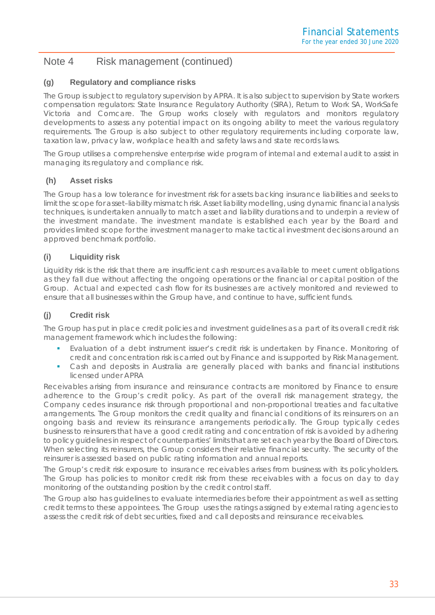## Note 4 Risk management (continued)

#### **(g) Regulatory and compliance risks**

The Group is subject to regulatory supervision by APRA. It is also subject to supervision by State workers compensation regulators: State Insurance Regulatory Authority (SIRA), Return to Work SA, WorkSafe Victoria and Comcare. The Group works closely with regulators and monitors regulatory developments to assess any potential impact on its ongoing ability to meet the various regulatory requirements. The Group is also subject to other regulatory requirements including corporate law, taxation law, privacy law, workplace health and safety laws and state records laws.

The Group utilises a comprehensive enterprise wide program of internal and external audit to assist in managing its regulatory and compliance risk.

#### **(h) Asset risks**

The Group has a low tolerance for investment risk for assets backing insurance liabilities and seeks to limit the scope for asset–liability mismatch risk. Asset liability modelling, using dynamic financial analysis techniques, is undertaken annually to match asset and liability durations and to underpin a review of the investment mandate. The investment mandate is established each year by the Board and provides limited scope for the investment manager to make tactical investment decisions around an approved benchmark portfolio.

#### **(i) Liquidity risk**

Liquidity risk is the risk that there are insufficient cash resources available to meet current obligations as they fall due without affecting the ongoing operations or the financial or capital position of the Group. Actual and expected cash flow for its businesses are actively monitored and reviewed to ensure that all businesses within the Group have, and continue to have, sufficient funds.

#### **(j) Credit risk**

The Group has put in place credit policies and investment guidelines as a part of its overall credit risk management framework which includes the following:

- Evaluation of a debt instrument issuer's credit risk is undertaken by Finance. Monitoring of credit and concentration risk is carried out by Finance and is supported by Risk Management.
- Cash and deposits in Australia are generally placed with banks and financial institutions licensed under APRA

Receivables arising from insurance and reinsurance contracts are monitored by Finance to ensure adherence to the Group's credit policy. As part of the overall risk management strategy, the Company cedes insurance risk through proportional and non-proportional treaties and facultative arrangements. The Group monitors the credit quality and financial conditions of its reinsurers on an ongoing basis and review its reinsurance arrangements periodically. The Group typically cedes business to reinsurers that have a good credit rating and concentration of risk is avoided by adhering to policy guidelines in respect of counterparties' limits that are set each year by the Board of Directors. When selecting its reinsurers, the Group considers their relative financial security. The security of the reinsurer is assessed based on public rating information and annual reports.

The Group's credit risk exposure to insurance receivables arises from business with its policyholders. The Group has policies to monitor credit risk from these receivables with a focus on day to day monitoring of the outstanding position by the credit control staff.

The Group also has guidelines to evaluate intermediaries before their appointment as well as setting credit terms to these appointees. The Group uses the ratings assigned by external rating agencies to assess the credit risk of debt securities, fixed and call deposits and reinsurance receivables.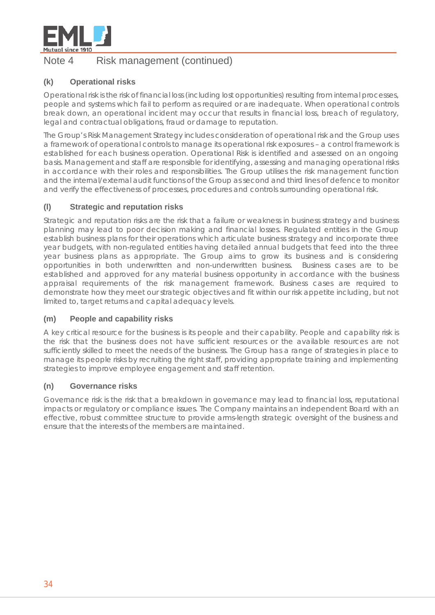

## Note 4 Risk management (continued)

#### **(k) Operational risks**

Operational risk is the risk of financial loss (including lost opportunities) resulting from internal processes, people and systems which fail to perform as required or are inadequate. When operational controls break down, an operational incident may occur that results in financial loss, breach of regulatory, legal and contractual obligations, fraud or damage to reputation.

The Group's Risk Management Strategy includes consideration of operational risk and the Group uses a framework of operational controls to manage its operational risk exposures – a control framework is established for each business operation. Operational Risk is identified and assessed on an ongoing basis. Management and staff are responsible for identifying, assessing and managing operational risks in accordance with their roles and responsibilities. The Group utilises the risk management function and the internal/external audit functions of the Group as second and third lines of defence to monitor and verify the effectiveness of processes, procedures and controls surrounding operational risk.

#### **(l) Strategic and reputation risks**

Strategic and reputation risks are the risk that a failure or weakness in business strategy and business planning may lead to poor decision making and financial losses. Regulated entities in the Group establish business plans for their operations which articulate business strategy and incorporate three year budgets, with non-regulated entities having detailed annual budgets that feed into the three year business plans as appropriate. The Group aims to grow its business and is considering opportunities in both underwritten and non-underwritten business. Business cases are to be established and approved for any material business opportunity in accordance with the business appraisal requirements of the risk management framework. Business cases are required to demonstrate how they meet our strategic objectives and fit within our risk appetite including, but not limited to, target returns and capital adequacy levels.

#### **(m) People and capability risks**

A key critical resource for the business is its people and their capability. People and capability risk is the risk that the business does not have sufficient resources or the available resources are not sufficiently skilled to meet the needs of the business. The Group has a range of strategies in place to manage its people risks by recruiting the right staff, providing appropriate training and implementing strategies to improve employee engagement and staff retention.

#### **(n) Governance risks**

Governance risk is the risk that a breakdown in governance may lead to financial loss, reputational impacts or regulatory or compliance issues. The Company maintains an independent Board with an effective, robust committee structure to provide arms-length strategic oversight of the business and ensure that the interests of the members are maintained.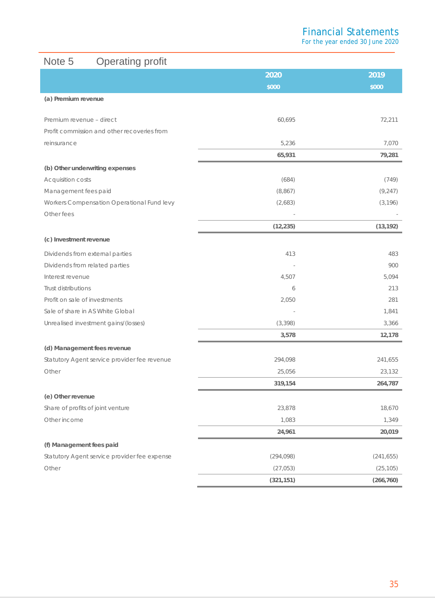For the year ended 30 June 2020

## Note 5 Operating profit

|                                              | 2020       | 2019       |
|----------------------------------------------|------------|------------|
|                                              | \$000      | \$000      |
| (a) Premium revenue                          |            |            |
| Premium revenue - direct                     | 60,695     | 72,211     |
| Profit commission and other recoveries from  |            |            |
| reinsurance                                  | 5,236      | 7,070      |
|                                              | 65,931     | 79,281     |
| (b) Other underwriting expenses              |            |            |
| Acquisition costs                            | (684)      | (749)      |
| Management fees paid                         | (8,867)    | (9, 247)   |
| Workers Compensation Operational Fund levy   | (2,683)    | (3, 196)   |
| Other fees                                   |            |            |
|                                              | (12, 235)  | (13, 192)  |
| (c) Investment revenue                       |            |            |
| Dividends from external parties              | 413        | 483        |
| Dividends from related parties               |            | 900        |
| Interest revenue                             | 4,507      | 5,094      |
| Trust distributions                          | 6          | 213        |
| Profit on sale of investments                | 2,050      | 281        |
| Sale of share in AS White Global             |            | 1,841      |
| Unrealised investment gains/(losses)         | (3, 398)   | 3,366      |
|                                              | 3,578      | 12,178     |
| (d) Management fees revenue                  |            |            |
| Statutory Agent service provider fee revenue | 294,098    | 241,655    |
| Other                                        | 25,056     | 23,132     |
|                                              | 319,154    | 264,787    |
| (e) Other revenue                            |            |            |
| Share of profits of joint venture            | 23,878     | 18,670     |
| Other income                                 | 1,083      | 1,349      |
|                                              | 24,961     | 20,019     |
| (f) Management fees paid                     |            |            |
| Statutory Agent service provider fee expense | (294, 098) | (241, 655) |
| Other                                        | (27, 053)  | (25, 105)  |
|                                              | (321, 151) | (266, 760) |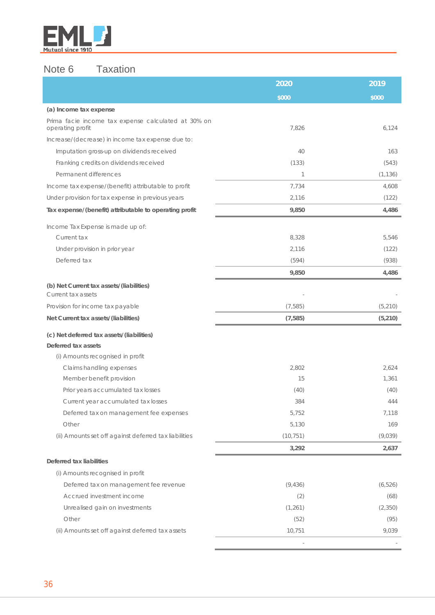

## Note 6 Taxation

|                                                                         | 2020      | 2019     |
|-------------------------------------------------------------------------|-----------|----------|
|                                                                         | \$000     | \$000    |
| (a) Income tax expense                                                  |           |          |
| Prima facie income tax expense calculated at 30% on<br>operating profit | 7,826     | 6,124    |
| Increase/(decrease) in income tax expense due to:                       |           |          |
| Imputation gross-up on dividends received                               | 40        | 163      |
| Franking credits on dividends received                                  | (133)     | (543)    |
| Permanent differences                                                   | 1         | (1, 136) |
| Income tax expense/(benefit) attributable to profit                     | 7,734     | 4,608    |
| Under provision for tax expense in previous years                       | 2,116     | (122)    |
| Tax expense/(benefit) attributable to operating profit                  | 9,850     | 4,486    |
| Income Tax Expense is made up of:                                       |           |          |
| Current tax                                                             | 8,328     | 5,546    |
| Under provision in prior year                                           | 2,116     | (122)    |
| Deferred tax                                                            | (594)     | (938)    |
|                                                                         | 9,850     | 4,486    |
| (b) Net Current tax assets/(liabilities)                                |           |          |
| Current tax assets                                                      |           |          |
| Provision for income tax payable                                        | (7, 585)  | (5, 210) |
| Net Current tax assets/(liabilities)                                    | (7, 585)  | (5, 210) |
| (c) Net deferred tax assets/(liabilities)                               |           |          |
| Deferred tax assets                                                     |           |          |
| (i) Amounts recognised in profit                                        |           |          |
| Claims handling expenses                                                | 2,802     | 2,624    |
| Member benefit provision                                                | 15        | 1,361    |
| Prior years accumulated tax losses                                      | (40)      | (40)     |
| Current year accumulated tax losses                                     | 384       | 444      |
| Deferred tax on management fee expenses                                 | 5,752     | 7,118    |
| Other                                                                   | 5,130     | 169      |
| (ii) Amounts set off against deferred tax liabilities                   | (10, 751) | (9,039)  |
|                                                                         | 3,292     | 2,637    |
| Deferred tax liabilities                                                |           |          |
| (i) Amounts recognised in profit                                        |           |          |
| Deferred tax on management fee revenue                                  | (9, 436)  | (6, 526) |
| Accrued investment income                                               | (2)       | (68)     |
| Unrealised gain on investments                                          | (1, 261)  | (2, 350) |
| Other                                                                   | (52)      | (95)     |
| (ii) Amounts set off against deferred tax assets                        | 10,751    | 9,039    |
|                                                                         |           |          |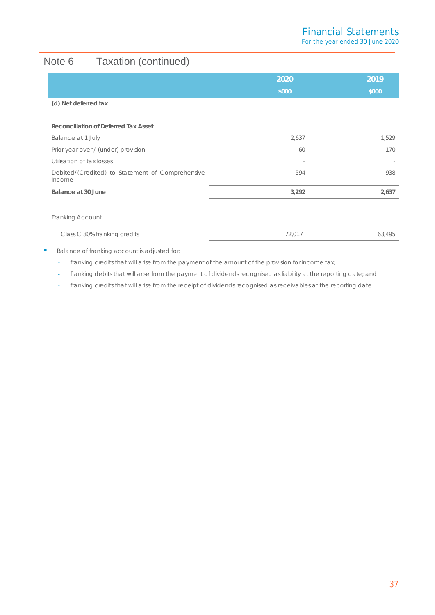# Note 6 Taxation (continued)

|                                                            | 2020   | 2019   |
|------------------------------------------------------------|--------|--------|
|                                                            | \$000  | \$000  |
| (d) Net deferred tax                                       |        |        |
|                                                            |        |        |
| Reconciliation of Deferred Tax Asset                       |        |        |
| Balance at 1 July                                          | 2,637  | 1,529  |
| Prior year over / (under) provision                        | 60     | 170    |
| Utilisation of tax losses                                  |        |        |
| Debited/(Credited) to Statement of Comprehensive<br>Income | 594    | 938    |
| Balance at 30 June                                         | 3,292  | 2,637  |
|                                                            |        |        |
| Franking Account                                           |        |        |
| Class C 30% franking credits                               | 72,017 | 63,495 |

Balance of franking account is adjusted for:

- franking credits that will arise from the payment of the amount of the provision for income tax;

franking debits that will arise from the payment of dividends recognised as liability at the reporting date; and

- franking credits that will arise from the receipt of dividends recognised as receivables at the reporting date.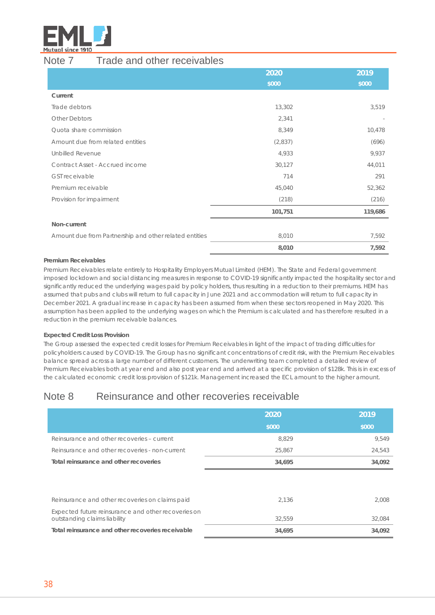

## Note 7 Trade and other receivables

|                                                        | 2020    | 2019    |
|--------------------------------------------------------|---------|---------|
|                                                        | \$000   | \$000   |
| Current                                                |         |         |
| Trade debtors                                          | 13,302  | 3,519   |
| <b>Other Debtors</b>                                   | 2,341   |         |
| Quota share commission                                 | 8,349   | 10,478  |
| Amount due from related entities                       | (2,837) | (696)   |
| Unbilled Revenue                                       | 4,933   | 9,937   |
| Contract Asset - Accrued income                        | 30,127  | 44,011  |
| <b>GST receivable</b>                                  | 714     | 291     |
| Premium receivable                                     | 45,040  | 52,362  |
| Provision for impairment                               | (218)   | (216)   |
|                                                        | 101,751 | 119,686 |
| Non-current                                            |         |         |
| Amount due from Partnership and other related entities | 8,010   | 7,592   |
|                                                        | 8,010   | 7,592   |

#### **Premium Receivables**

Premium Receivables relate entirely to Hospitality Employers Mutual Limited (HEM). The State and Federal government imposed lockdown and social distancing measures in response to COVID-19 significantly impacted the hospitality sector and significantly reduced the underlying wages paid by policy holders, thus resulting in a reduction to their premiums. HEM has assumed that pubs and clubs will return to full capacity in June 2021 and accommodation will return to full capacity in December 2021. A gradual increase in capacity has been assumed from when these sectors reopened in May 2020. This assumption has been applied to the underlying wages on which the Premium is calculated and has therefore resulted in a reduction in the premium receivable balances.

#### **Expected Credit Loss Provision**

The Group assessed the expected credit losses for Premium Receivables in light of the impact of trading difficulties for policyholders caused by COVID-19. The Group has no significant concentrations of credit risk, with the Premium Receivables balance spread across a large number of different customers. The underwriting team completed a detailed review of Premium Receivables both at year end and also post year end and arrived at a specific provision of \$128k. This is in excess of the calculated economic credit loss provision of \$121k. Management increased the ECL amount to the higher amount.

## Note 8 Reinsurance and other recoveries receivable

|                                                                                     | 2020   | 2019   |
|-------------------------------------------------------------------------------------|--------|--------|
|                                                                                     | \$000  | \$000  |
| Reinsurance and other recoveries - current                                          | 8,829  | 9,549  |
| Reinsurance and other recoveries - non-current                                      | 25,867 | 24,543 |
| Total reinsurance and other recoveries                                              | 34,695 | 34,092 |
|                                                                                     |        |        |
|                                                                                     |        |        |
| Reinsurance and other recoveries on claims paid                                     | 2,136  | 2,008  |
| Expected future reinsurance and other recoveries on<br>outstanding claims liability | 32,559 | 32,084 |
| Total reinsurance and other recoveries receivable                                   | 34,695 | 34,092 |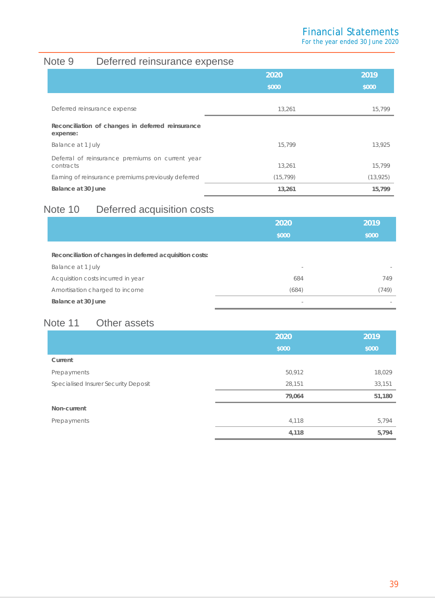For the year ended 30 June 2020

# Note 9 Deferred reinsurance expense

|                                                               | 2020      | 2019      |
|---------------------------------------------------------------|-----------|-----------|
|                                                               | \$000     | \$000     |
| Deferred reinsurance expense                                  | 13.261    | 15,799    |
| Reconciliation of changes in deferred reinsurance<br>expense: |           |           |
| Balance at 1 July                                             | 15.799    | 13.925    |
| Deferral of reinsurance premiums on current year<br>contracts | 13,261    | 15,799    |
| Earning of reinsurance premiums previously deferred           | (15, 799) | (13, 925) |
| Balance at 30 June                                            | 13,261    | 15,799    |

## Note 10 Deferred acquisition costs

|                                                          | 2020                     | 2019  |
|----------------------------------------------------------|--------------------------|-------|
|                                                          | \$000                    | \$000 |
| Reconciliation of changes in deferred acquisition costs: |                          |       |
| Balance at 1 July                                        | $\overline{\phantom{a}}$ |       |
| Acquisition costs incurred in year                       | 684                      | 749   |
| Amortisation charged to income                           | (684)                    | (749) |
| Balance at 30 June                                       |                          |       |

# Note 11 Other assets

|                                      | 2020   | 2019   |
|--------------------------------------|--------|--------|
|                                      | \$000  | \$000  |
| Current                              |        |        |
| Prepayments                          | 50,912 | 18,029 |
| Specialised Insurer Security Deposit | 28,151 | 33,151 |
|                                      | 79,064 | 51,180 |
| Non-current                          |        |        |
| Prepayments                          | 4,118  | 5,794  |
|                                      | 4,118  | 5,794  |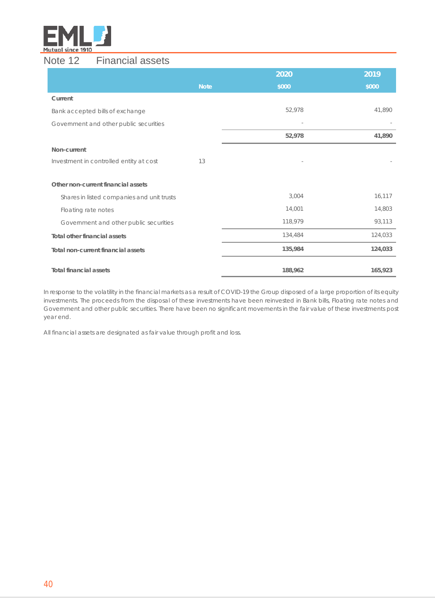

## Note 12 Financial assets

|                                            |             | 2020    | 2019    |
|--------------------------------------------|-------------|---------|---------|
|                                            | <b>Note</b> | \$000   | \$000   |
| Current                                    |             |         |         |
| Bank accepted bills of exchange            |             | 52,978  | 41,890  |
| Government and other public securities     |             |         |         |
|                                            |             | 52,978  | 41,890  |
| Non-current                                |             |         |         |
| Investment in controlled entity at cost    | 13          |         |         |
|                                            |             |         |         |
| Other non-current financial assets         |             |         |         |
| Shares in listed companies and unit trusts |             | 3,004   | 16,117  |
| Floating rate notes                        |             | 14,001  | 14,803  |
| Government and other public securities     |             | 118,979 | 93,113  |
| <b>Total other financial assets</b>        |             | 134,484 | 124,033 |
| Total non-current financial assets         |             | 135,984 | 124,033 |
| <b>Total financial assets</b>              |             | 188,962 | 165,923 |

In response to the volatility in the financial markets as a result of COVID-19 the Group disposed of a large proportion of its equity investments. The proceeds from the disposal of these investments have been reinvested in Bank bills, Floating rate notes and Government and other public securities. There have been no significant movements in the fair value of these investments post year end.

All financial assets are designated as fair value through profit and loss.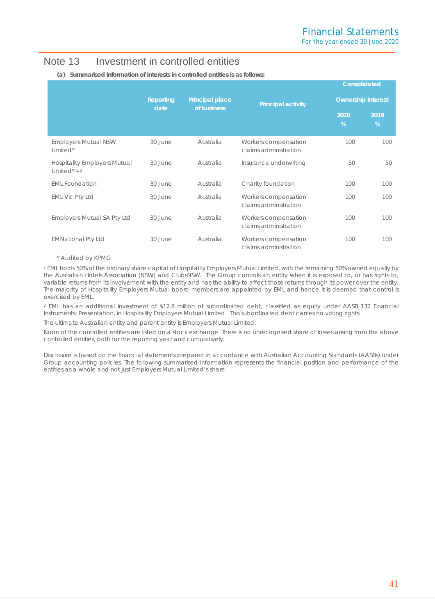## Note 13 Investment in controlled entities

|                                                                   |                                                     |                           |                                               |           | Consolidated |
|-------------------------------------------------------------------|-----------------------------------------------------|---------------------------|-----------------------------------------------|-----------|--------------|
|                                                                   | Reporting<br>Principal place<br>of business<br>date | <b>Principal activity</b> | <b>Ownership Interest</b>                     |           |              |
|                                                                   |                                                     |                           |                                               | 2020<br>% | 2019<br>%    |
| <b>Employers Mutual NSW</b><br>Limited*                           | 30 June                                             | Australia                 | Workers compensation<br>claims administration | 100       | 100          |
| <b>Hospitality Employers Mutual</b><br>Limited $*$ <sup>1,2</sup> | 30 June                                             | Australia                 | Insurance underwriting                        | 50        | 50           |
| <b>EML Foundation</b>                                             | 30 June                                             | Australia                 | Charity foundation                            | 100       | 100          |
| <b>EML Vic Pty Ltd</b>                                            | 30 June                                             | Australia                 | Workers compensation<br>claims administration | 100       | 100          |
| <b>Employers Mutual SA Pty Ltd</b>                                | 30 June                                             | Australia                 | Workers compensation<br>claims administration | 100       | 100          |
| <b>EMNational Pty Ltd</b>                                         | 30 June                                             | Australia                 | Workers compensation<br>claims administration | 100       | 100          |

#### **(a) Summarised information of interests in controlled entities is as follows:**

#### \* Audited by KPMG

<sup>1</sup> EML holds 50% of the ordinary share capital of Hospitality Employers Mutual Limited, with the remaining 50% owned equally by the Australian Hotels Association (NSW) and ClubsNSW. The Group controls an entity when it is exposed to, or has rights to, variable returns from its involvement with the entity and has the ability to affect those returns through its power over the entity. The majority of Hospitality Employers Mutual board members are appointed by EML and hence it is deemed that control is exercised by EML.

<sup>2</sup> EML has an additional investment of \$12.8 million of subordinated debt, classified as equity under AASB 132 *Financial Instruments: Presentation*, in Hospitality Employers Mutual Limited. This subordinated debt carries no voting rights.

The ultimate Australian entity and parent entity is Employers Mutual Limited.

None of the controlled entities are listed on a stock exchange. There is no unrecognised share of losses arising from the above controlled entities, both for the reporting year and cumulatively.

Disclosure is based on the financial statements prepared in accordance with Australian Accounting Standards (AASBs) under Group accounting policies. The following summarised information represents the financial position and performance of the entities as a whole and not just Employers Mutual Limited's share.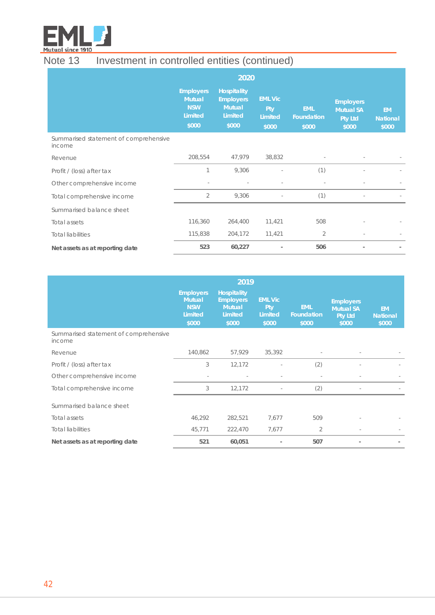

# Note 13 Investment in controlled entities (continued)

|                                                 | 2020                                                                       |                                                                             |                                           |                                          |                                                                 |                                       |
|-------------------------------------------------|----------------------------------------------------------------------------|-----------------------------------------------------------------------------|-------------------------------------------|------------------------------------------|-----------------------------------------------------------------|---------------------------------------|
|                                                 | <b>Employers</b><br><b>Mutual</b><br><b>NSW</b><br><b>Limited</b><br>\$000 | <b>Hospitality</b><br><b>Employers</b><br><b>Mutual</b><br>Limited<br>\$000 | <b>EML Vic</b><br>Pty<br>Limited<br>\$000 | <b>EML</b><br><b>Foundation</b><br>\$000 | <b>Employers</b><br><b>Mutual SA</b><br><b>Pty Ltd</b><br>\$000 | <b>EM</b><br><b>National</b><br>\$000 |
| Summarised statement of comprehensive<br>income |                                                                            |                                                                             |                                           |                                          |                                                                 |                                       |
| Revenue                                         | 208,554                                                                    | 47,979                                                                      | 38,832                                    |                                          |                                                                 |                                       |
| Profit / (loss) after tax                       | 1                                                                          | 9,306                                                                       |                                           | (1)                                      |                                                                 |                                       |
| Other comprehensive income                      |                                                                            |                                                                             |                                           |                                          |                                                                 |                                       |
| Total comprehensive income                      | $\overline{2}$                                                             | 9,306                                                                       |                                           | (1)                                      |                                                                 |                                       |
| Summarised balance sheet                        |                                                                            |                                                                             |                                           |                                          |                                                                 |                                       |
| Total assets                                    | 116,360                                                                    | 264,400                                                                     | 11,421                                    | 508                                      |                                                                 |                                       |
| <b>Total liabilities</b>                        | 115,838                                                                    | 204,172                                                                     | 11,421                                    | $\overline{2}$                           |                                                                 |                                       |
| Net assets as at reporting date                 | 523                                                                        | 60,227                                                                      |                                           | 506                                      |                                                                 |                                       |

|                                                 | 2019                                                                |                                                                             |                                           |                                   |                                                                 |                                       |
|-------------------------------------------------|---------------------------------------------------------------------|-----------------------------------------------------------------------------|-------------------------------------------|-----------------------------------|-----------------------------------------------------------------|---------------------------------------|
|                                                 | <b>Employers</b><br><b>Mutual</b><br><b>NSW</b><br>Limited<br>\$000 | <b>Hospitality</b><br><b>Employers</b><br><b>Mutual</b><br>Limited<br>\$000 | <b>EML Vic</b><br>Pty<br>Limited<br>\$000 | <b>EML</b><br>Foundation<br>\$000 | <b>Employers</b><br><b>Mutual SA</b><br><b>Pty Ltd</b><br>\$000 | <b>EM</b><br><b>National</b><br>\$000 |
| Summarised statement of comprehensive<br>income |                                                                     |                                                                             |                                           |                                   |                                                                 |                                       |
| Revenue                                         | 140,862                                                             | 57,929                                                                      | 35,392                                    |                                   |                                                                 |                                       |
| Profit / (loss) after tax                       | 3                                                                   | 12,172                                                                      |                                           | (2)                               |                                                                 |                                       |
| Other comprehensive income                      | $\sim$                                                              |                                                                             |                                           |                                   |                                                                 |                                       |
| Total comprehensive income                      | 3                                                                   | 12,172                                                                      |                                           | (2)                               | $\sim$                                                          |                                       |
| Summarised balance sheet                        |                                                                     |                                                                             |                                           |                                   |                                                                 |                                       |
| Total assets                                    | 46,292                                                              | 282,521                                                                     | 7,677                                     | 509                               |                                                                 |                                       |
| <b>Total liabilities</b>                        | 45,771                                                              | 222,470                                                                     | 7,677                                     | $\overline{2}$                    | $\sim$                                                          |                                       |
| Net assets as at reporting date                 | 521                                                                 | 60,051                                                                      |                                           | 507                               | $\overline{a}$                                                  |                                       |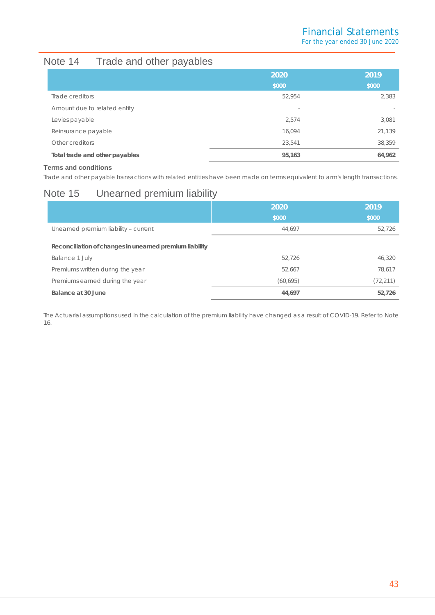# Note 14 Trade and other payables

|                                | 2020                     | 2019                     |
|--------------------------------|--------------------------|--------------------------|
|                                | \$000                    | \$000                    |
| Trade creditors                | 52,954                   | 2,383                    |
| Amount due to related entity   | $\overline{\phantom{0}}$ | $\overline{\phantom{a}}$ |
| Levies payable                 | 2,574                    | 3,081                    |
| Reinsurance payable            | 16,094                   | 21,139                   |
| Other creditors                | 23.541                   | 38,359                   |
| Total trade and other payables | 95,163                   | 64,962                   |

#### **Terms and conditions**

Trade and other payable transactions with related entities have been made on terms equivalent to arm's length transactions.

## Note 15 Unearned premium liability

|                                                         | 2020      | 2019      |
|---------------------------------------------------------|-----------|-----------|
|                                                         | \$000     | \$000     |
| Unearned premium liability - current                    | 44.697    | 52,726    |
| Reconciliation of changes in unearned premium liability |           |           |
| Balance 1 July                                          | 52,726    | 46.320    |
| Premiums written during the year                        | 52,667    | 78.617    |
| Premiums earned during the year                         | (60, 695) | (72, 211) |
| Balance at 30 June                                      | 44,697    | 52,726    |

The Actuarial assumptions used in the calculation of the premium liability have changed as a result of COVID-19. Refer to Note 16.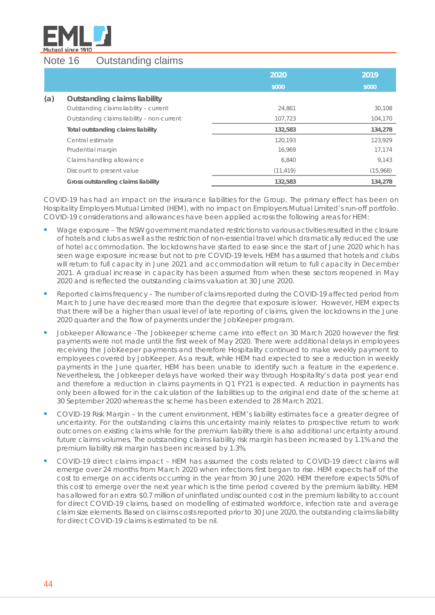

## Note 16 Outstanding claims

|     |                                            | 2020      | 2019     |
|-----|--------------------------------------------|-----------|----------|
|     |                                            | \$000     | \$000    |
| (a) | <b>Outstanding claims liability</b>        |           |          |
|     | Outstanding claims liability - current     | 24.861    | 30,108   |
|     | Outstanding claims liability - non-current | 107,723   | 104,170  |
|     | Total outstanding claims liability         | 132,583   | 134,278  |
|     | Central estimate                           | 120.193   | 123,929  |
|     | Prudential margin                          | 16.969    | 17,174   |
|     | Claims handling allowance                  | 6.840     | 9,143    |
|     | Discount to present value                  | (11, 419) | (15,968) |
|     | Gross outstanding claims liability         | 132,583   | 134,278  |

COVID-19 has had an impact on the insurance liabilities for the Group. The primary effect has been on Hospitality Employers Mutual Limited (HEM), with no impact on Employers Mutual Limited's run-off portfolio. COVID-19 considerations and allowances have been applied across the following areas for HEM:

- Wage exposure The NSW government mandated restrictions to various activities resulted in the closure of hotels and clubs as well as the restriction of non-essential travel which dramatically reduced the use of hotel accommodation. The lockdowns have started to ease since the start of June 2020 which has seen wage exposure increase but not to pre COVID-19 levels. HEM has assumed that hotels and clubs will return to full capacity in June 2021 and accommodation will return to full capacity in December 2021. A gradual increase in capacity has been assumed from when these sectors reopened in May 2020 and is reflected the outstanding claims valuation at 30 June 2020.
- Reported claims frequency The number of claims reported during the COVID-19 affected period from March to June have decreased more than the degree that exposure is lower. However, HEM expects that there will be a higher than usual level of late reporting of claims, given the lockdowns in the June 2020 quarter and the flow of payments under the JobKeeper program.
- Jobkeeper Allowance -The Jobkeeper scheme came into effect on 30 March 2020 however the first payments were not made until the first week of May 2020. There were additional delays in employees receiving the JobKeeper payments and therefore Hospitality continued to make weekly payment to employees covered by JobKeeper. As a result, while HEM had expected to see a reduction in weekly payments in the June quarter, HEM has been unable to identify such a feature in the experience. Nevertheless, the Jobkeeper delays have worked their way through Hospitality's data post year end and therefore a reduction in claims payments in Q1 FY21 is expected. A reduction in payments has only been allowed for in the calculation of the liabilities up to the original end date of the scheme at 30 September 2020 whereas the scheme has been extended to 28 March 2021.
- COVID-19 Risk Margin In the current environment, HEM's liability estimates face a greater degree of uncertainty. For the outstanding claims this uncertainty mainly relates to prospective return to work outcomes on existing claims while for the premium liability there is also additional uncertainty around future claims volumes. The outstanding claims liability risk margin has been increased by 1.1% and the premium liability risk margin has been increased by 1.3%.
- COVID-19 direct claims impact HEM has assumed the costs related to COVID-19 direct claims will emerge over 24 months from March 2020 when infections first began to rise. HEM expects half of the cost to emerge on accidents occurring in the year from 30 June 2020. HEM therefore expects 50% of this cost to emerge over the next year which is the time period covered by the premium liability. HEM has allowed for an extra \$0.7 million of uninflated undiscounted cost in the premium liability to account for direct COVID-19 claims, based on modelling of estimated workforce, infection rate and average claim size elements. Based on claims costs reported prior to 30 June 2020, the outstanding claims liability for direct COVID-19 claims is estimated to be nil.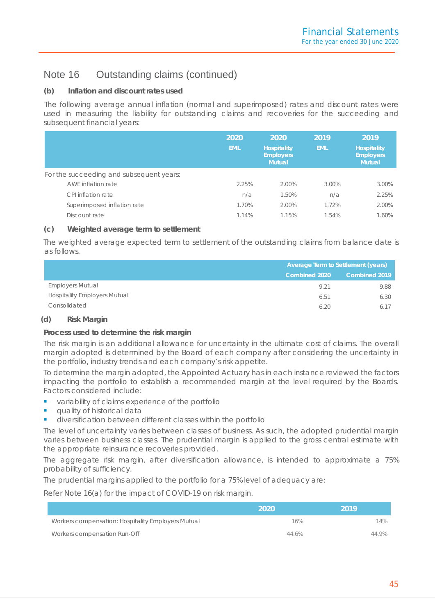#### **(b) Inflation and discount rates used**

The following average annual inflation (normal and superimposed) rates and discount rates were used in measuring the liability for outstanding claims and recoveries for the succeeding and subsequent financial years:

|                                          | 2020<br><b>EML</b> | 2020<br><b>Hospitality</b><br><b>Employers</b><br><b>Mutual</b> | 2019<br><b>EML</b> | 2019<br><b>Hospitality</b><br><b>Employers</b><br><b>Mutual</b> |
|------------------------------------------|--------------------|-----------------------------------------------------------------|--------------------|-----------------------------------------------------------------|
| For the succeeding and subsequent years: |                    |                                                                 |                    |                                                                 |
| AWE inflation rate                       | 2.25%              | 2.00%                                                           | 3.00%              | 3.00%                                                           |
| CPI inflation rate                       | n/a                | 1.50%                                                           | n/a                | 2.25%                                                           |
| Superimposed inflation rate              | 1.70%              | 2.00%                                                           | 1.72%              | 2.00%                                                           |
| Discount rate                            | 1.14%              | 1.15%                                                           | 1.54%              | 1.60%                                                           |

#### **(c) Weighted average term to settlement**

The weighted average expected term to settlement of the outstanding claims from balance date is as follows.

|                                     | <b>Average Term to Settlement (years)</b> |               |  |
|-------------------------------------|-------------------------------------------|---------------|--|
|                                     | <b>Combined 2020</b>                      | Combined 2019 |  |
| <b>Employers Mutual</b>             | 9.21                                      | 9.88          |  |
| <b>Hospitality Employers Mutual</b> | 6.51                                      | 6.30          |  |
| Consolidated                        | 6.20                                      | 6.17          |  |

#### **(d) Risk Margin**

#### **Process used to determine the risk margin**

The risk margin is an additional allowance for uncertainty in the ultimate cost of claims. The overall margin adopted is determined by the Board of each company after considering the uncertainty in the portfolio, industry trends and each company's risk appetite.

To determine the margin adopted, the Appointed Actuary has in each instance reviewed the factors impacting the portfolio to establish a recommended margin at the level required by the Boards. Factors considered include:

- variability of claims experience of the portfolio
- quality of historical data
- diversification between different classes within the portfolio

The level of uncertainty varies between classes of business. As such, the adopted prudential margin varies between business classes. The prudential margin is applied to the gross central estimate with the appropriate reinsurance recoveries provided.

The aggregate risk margin, after diversification allowance, is intended to approximate a 75% probability of sufficiency.

The prudential margins applied to the portfolio for a 75% level of adequacy are:

Refer Note 16(a) for the impact of COVID-19 on risk margin.

|                                                    | 2020  | 2019  |
|----------------------------------------------------|-------|-------|
| Workers compensation: Hospitality Employers Mutual | 16%   | 14%   |
| Workers compensation Run-Off                       | 44.6% | 44 9% |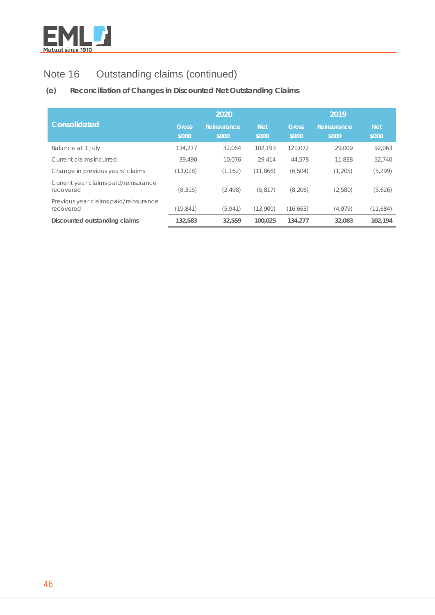

## **(e) Reconciliation of Changes in Discounted Net Outstanding Claims**

|                                                    |              | 2020        |            | 2019         |             |            |  |
|----------------------------------------------------|--------------|-------------|------------|--------------|-------------|------------|--|
| <b>Consolidated</b>                                | <b>Gross</b> | Reinsurance | <b>Net</b> | <b>Gross</b> | Reinsurance | <b>Net</b> |  |
|                                                    | \$000        | \$000       | \$000      | \$000        | \$000       | \$000      |  |
| Balance at 1 July                                  | 134.277      | 32.084      | 102.193    | 121.072      | 29.009      | 92,063     |  |
| Current claims incurred                            | 39,490       | 10.076      | 29.414     | 44,578       | 11.838      | 32,740     |  |
| Change in previous years' claims                   | (13, 028)    | (1, 162)    | (11, 866)  | (6, 504)     | (1,205)     | (5, 299)   |  |
| Current year claims paid/reinsurance<br>recovered  | (8, 315)     | (2, 498)    | (5, 817)   | (8,206)      | (2,580)     | (5,626)    |  |
| Previous year claims paid/reinsurance<br>recovered | (19, 841)    | (5,941)     | (13,900)   | (16, 663)    | (4, 979)    | (11,684)   |  |
| Discounted outstanding claims                      | 132,583      | 32,559      | 100.025    | 134,277      | 32,083      | 102.194    |  |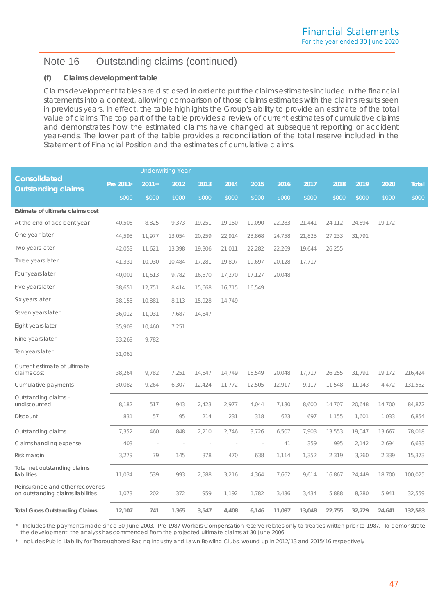#### **(f) Claims development table**

Claims development tables are disclosed in order to put the claims estimates included in the financial statements into a context, allowing comparison of those claims estimates with the claims results seen in previous years. In effect, the table highlights the Group's ability to provide an estimate of the total value of claims. The top part of the table provides a review of current estimates of cumulative claims and demonstrates how the estimated claims have changed at subsequent reporting or accident year-ends. The lower part of the table provides a reconciliation of the total reserve included in the Statement of Financial Position and the estimates of cumulative claims.

|                                                                       |           |        | <b>Underwriting Year</b> |        |        |        |        |        |        |        |        |              |
|-----------------------------------------------------------------------|-----------|--------|--------------------------|--------|--------|--------|--------|--------|--------|--------|--------|--------------|
| <b>Consolidated</b><br><b>Outstanding claims</b>                      | Pre 2011* | 2011** | 2012                     | 2013   | 2014   | 2015   | 2016   | 2017   | 2018   | 2019   | 2020   | <b>Total</b> |
|                                                                       | \$000     | \$000  | \$000                    | \$000  | \$000  | \$000  | \$000  | \$000  | \$000  | \$000  | \$000  | \$000        |
| Estimate of ultimate claims cost                                      |           |        |                          |        |        |        |        |        |        |        |        |              |
| At the end of accident year                                           | 40,506    | 8,825  | 9,373                    | 19,251 | 19,150 | 19,090 | 22,283 | 21,441 | 24,112 | 24,694 | 19,172 |              |
| One year later                                                        | 44,595    | 11,977 | 13,054                   | 20,259 | 22,914 | 23,868 | 24,758 | 21,825 | 27,233 | 31,791 |        |              |
| Two years later                                                       | 42,053    | 11,621 | 13,398                   | 19,306 | 21,011 | 22,282 | 22,269 | 19,644 | 26,255 |        |        |              |
| Three years later                                                     | 41,331    | 10,930 | 10,484                   | 17,281 | 19,807 | 19,697 | 20,128 | 17,717 |        |        |        |              |
| Four years later                                                      | 40,001    | 11,613 | 9,782                    | 16,570 | 17,270 | 17,127 | 20,048 |        |        |        |        |              |
| Five years later                                                      | 38,651    | 12,751 | 8,414                    | 15,668 | 16,715 | 16,549 |        |        |        |        |        |              |
| Six years later                                                       | 38,153    | 10,881 | 8,113                    | 15,928 | 14,749 |        |        |        |        |        |        |              |
| Seven years later                                                     | 36,012    | 11,031 | 7,687                    | 14,847 |        |        |        |        |        |        |        |              |
| Eight years later                                                     | 35,908    | 10,460 | 7,251                    |        |        |        |        |        |        |        |        |              |
| Nine years later                                                      | 33,269    | 9,782  |                          |        |        |        |        |        |        |        |        |              |
| Ten years later                                                       | 31,061    |        |                          |        |        |        |        |        |        |        |        |              |
| Current estimate of ultimate<br>claims cost                           | 38,264    | 9,782  | 7,251                    | 14,847 | 14,749 | 16,549 | 20,048 | 17,717 | 26,255 | 31,791 | 19,172 | 216,424      |
| Cumulative payments                                                   | 30,082    | 9,264  | 6,307                    | 12,424 | 11,772 | 12,505 | 12,917 | 9,117  | 11,548 | 11,143 | 4,472  | 131,552      |
| Outstanding claims -<br>undiscounted                                  | 8,182     | 517    | 943                      | 2,423  | 2,977  | 4,044  | 7,130  | 8,600  | 14,707 | 20,648 | 14,700 | 84,872       |
| Discount                                                              | 831       | 57     | 95                       | 214    | 231    | 318    | 623    | 697    | 1,155  | 1,601  | 1,033  | 6,854        |
| Outstanding claims                                                    | 7,352     | 460    | 848                      | 2,210  | 2,746  | 3,726  | 6,507  | 7,903  | 13,553 | 19,047 | 13,667 | 78,018       |
| Claims handling expense                                               | 403       | $\sim$ |                          |        |        | $\sim$ | 41     | 359    | 995    | 2,142  | 2,694  | 6,633        |
| Risk margin                                                           | 3,279     | 79     | 145                      | 378    | 470    | 638    | 1,114  | 1,352  | 2,319  | 3,260  | 2,339  | 15,373       |
| Total net outstanding claims<br>liabilities                           | 11,034    | 539    | 993                      | 2,588  | 3,216  | 4,364  | 7,662  | 9,614  | 16,867 | 24,449 | 18,700 | 100,025      |
| Reinsurance and other recoveries<br>on outstanding claims liabilities | 1,073     | 202    | 372                      | 959    | 1,192  | 1,782  | 3,436  | 3,434  | 5,888  | 8,280  | 5,941  | 32,559       |
| <b>Total Gross Outstanding Claims</b>                                 | 12,107    | 741    | 1,365                    | 3,547  | 4,408  | 6,146  | 11,097 | 13,048 | 22,755 | 32,729 | 24,641 | 132,583      |

*\* Includes the payments made since 30 June 2003. Pre 1987 Workers Compensation reserve relates only to treaties written prior to 1987. To demonstrate the development, the analysis has commenced from the projected ultimate claims at 30 June 2006.*

*\* Includes Public Liability for Thoroughbred Racing Industry and Lawn Bowling Clubs, wound up in 2012/13 and 2015/16 respectively*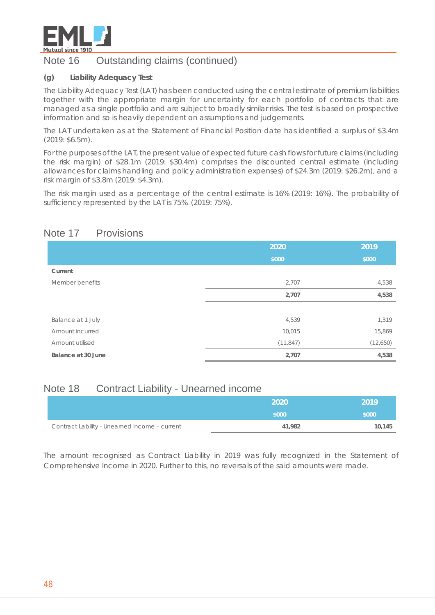

#### **(g) Liability Adequacy Test**

The Liability Adequacy Test (LAT) has been conducted using the central estimate of premium liabilities together with the appropriate margin for uncertainty for each portfolio of contracts that are managed as a single portfolio and are subject to broadly similar risks. The test is based on prospective information and so is heavily dependent on assumptions and judgements.

The LAT undertaken as at the Statement of Financial Position date has identified a surplus of \$3.4m (2019: \$6.5m).

For the purposes of the LAT, the present value of expected future cash flows for future claims (including the risk margin) of \$28.1m (2019: \$30.4m) comprises the discounted central estimate (including allowances for claims handling and policy administration expenses) of \$24.3m (2019: \$26.2m), and a risk margin of \$3.8m (2019: \$4.3m).

The risk margin used as a percentage of the central estimate is 16% (2019: 16%). The probability of sufficiency represented by the LAT is 75%. (2019: 75%).

## Note 17 Provisions

|                    | 2020      | 2019     |
|--------------------|-----------|----------|
|                    | \$000     | \$000    |
| Current            |           |          |
| Member benefits    | 2,707     | 4,538    |
|                    | 2,707     | 4,538    |
|                    |           |          |
| Balance at 1 July  | 4,539     | 1,319    |
| Amount incurred    | 10,015    | 15,869   |
| Amount utilised    | (11, 847) | (12,650) |
| Balance at 30 June | 2,707     | 4,538    |

## Note 18 Contract Liability - Unearned income

|                                               | 2020   | 2019   |
|-----------------------------------------------|--------|--------|
|                                               | \$000  | \$000  |
| Contract Lability - Unearned income - current | 41,982 | 10,145 |

The amount recognised as Contract Liability in 2019 was fully recognized in the Statement of Comprehensive Income in 2020. Further to this, no reversals of the said amounts were made.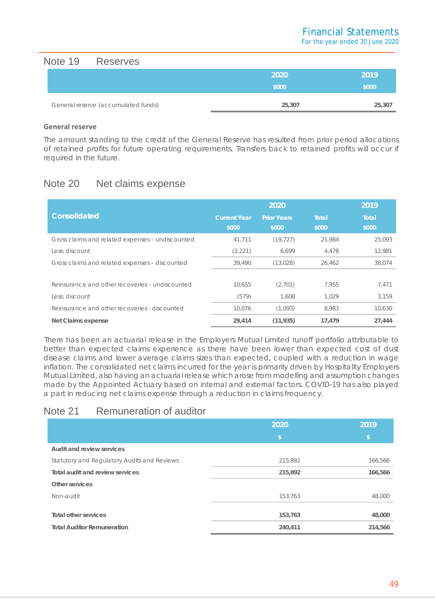Note 19 Reserves

| ----------                          |        |        |
|-------------------------------------|--------|--------|
|                                     | 2020   | 2019   |
|                                     | \$000  | \$000  |
|                                     |        |        |
| General reserve (accumulated funds) | 25,307 | 25,307 |

#### **General reserve**

The amount standing to the credit of the General Reserve has resulted from prior period allocations of retained profits for future operating requirements. Transfers back to retained profits will occur if required in the future.

## Note 20 Net claims expense

|                                                  |                              | 2020                        |                       | 2019                  |
|--------------------------------------------------|------------------------------|-----------------------------|-----------------------|-----------------------|
| <b>Consolidated</b>                              | <b>Current Year</b><br>\$000 | <b>Prior Years</b><br>\$000 | <b>Total</b><br>\$000 | <b>Total</b><br>\$000 |
| Gross claims and related expenses - undiscounted | 41,711                       | (19, 727)                   | 21.984                | 25,093                |
| Less: discount                                   | (2, 221)                     | 6.699                       | 4,478                 | 12,981                |
| Gross claims and related expenses - discounted   | 39,490                       | (13,028)                    | 26,462                | 38,074                |
|                                                  |                              |                             |                       |                       |
| Reinsurance and other recoveries - undiscounted  | 10,655                       | (2,701)                     | 7.955                 | 7,471                 |
| Less: discount                                   | (579)                        | 1.608                       | 1.029                 | 3.159                 |
| Reinsurance and other recoveries - discounted    | 10,076                       | (1,093)                     | 8,983                 | 10,630                |
| Net Claims expense                               | 29,414                       | (11, 935)                   | 17,479                | 27,444                |

There has been an actuarial release in the Employers Mutual Limited runoff portfolio attributable to better than expected claims experience as there have been lower than expected cost of dust disease claims and lower average claims sizes than expected, coupled with a reduction in wage inflation. The consolidated net claims incurred for the year is primarily driven by Hospitality Employers Mutual Limited, also having an actuarial release which arose from modelling and assumption changes made by the Appointed Actuary based on internal and external factors. COVID-19 has also played a part in reducing net claims expense through a reduction in claims frequency.

## Note 21 Remuneration of auditor

|                                             | 2020    | 2019    |
|---------------------------------------------|---------|---------|
|                                             | \$      | IS.     |
| Audit and review services                   |         |         |
| Statutory and Regulatory Audits and Reviews | 215,892 | 166,566 |
| Total audit and review services             | 215,892 | 166,566 |
| Other services                              |         |         |
| Non-audit                                   | 153,763 | 48,000  |
|                                             |         |         |
| Total other services                        | 153,763 | 48,000  |
| <b>Total Auditor Remuneration</b>           | 240,411 | 214,566 |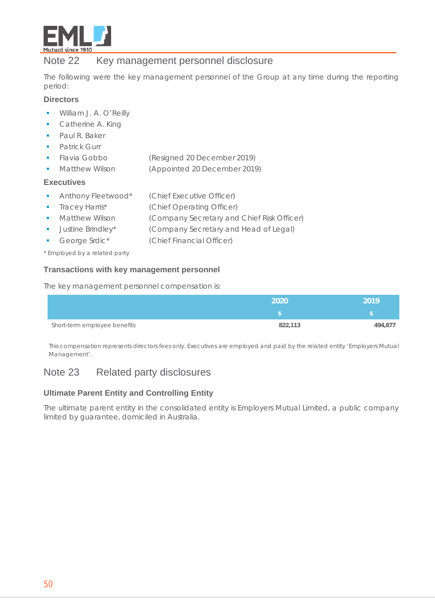

## Note 22 Key management personnel disclosure

The following were the key management personnel of the Group at any time during the reporting period:

#### **Directors**

- **William J. A. O'Reilly**
- **Catherine A. King**
- Paul R. Baker
- **Patrick Gurr**
- Flavia Gobbo (Resigned 20 December 2019)
- **Matthew Wilson (Appointed 20 December 2019)**

#### **Executives**

- **Anthony Fleetwood\*** (Chief Executive Officer)
- Tracey Harris\* (Chief Operating Officer)
- **Matthew Wilson (Company Secretary and Chief Risk Officer)** 
	- Justine Brindley\* (Company Secretary and Head of Legal)
- George Srdic\* (Chief Financial Officer)

*\* Employed by a related party*

#### **Transactions with key management personnel**

The key management personnel compensation is:

|                              | 2020    | 2019    |
|------------------------------|---------|---------|
|                              |         |         |
| Short-term employee benefits | 822,113 | 494,877 |

This compensation represents directors fees only. Executives are employed and paid by the related entity 'Employers Mutual Management'.

## Note 23 Related party disclosures

## **Ultimate Parent Entity and Controlling Entity**

The ultimate parent entity in the consolidated entity is Employers Mutual Limited, a public company limited by guarantee, domiciled in Australia.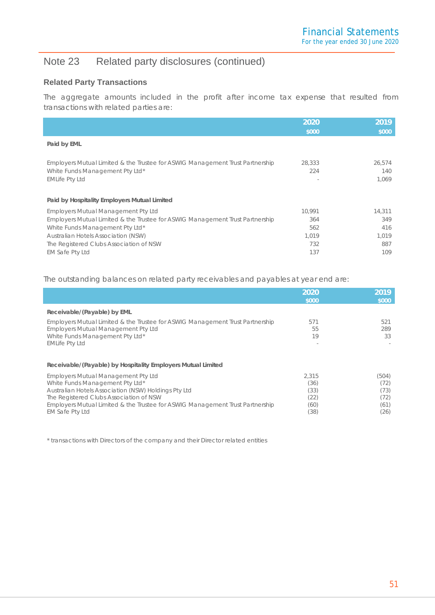# Note 23 Related party disclosures (continued)

## **Related Party Transactions**

The aggregate amounts included in the profit after income tax expense that resulted from transactions with related parties are:

|                                                                                                                                           | 2020<br>\$000 | 2019<br>\$000          |
|-------------------------------------------------------------------------------------------------------------------------------------------|---------------|------------------------|
| Paid by EML                                                                                                                               |               |                        |
| Employers Mutual Limited & the Trustee for ASWIG Management Trust Partnership<br>White Funds Management Pty Ltd*<br><b>EMLife Pty Ltd</b> | 28,333<br>224 | 26,574<br>140<br>1.069 |
| Paid by Hospitality Employers Mutual Limited                                                                                              |               |                        |
| <b>Employers Mutual Management Pty Ltd</b>                                                                                                | 10.991        | 14,311                 |
| Employers Mutual Limited & the Trustee for ASWIG Management Trust Partnership                                                             | 364           | 349                    |
| White Funds Management Pty Ltd*                                                                                                           | 562           | 416                    |
| <b>Australian Hotels Association (NSW)</b>                                                                                                | 1,019         | 1,019                  |
| The Registered Clubs Association of NSW                                                                                                   | 732           | 887                    |
| EM Safe Pty Ltd                                                                                                                           | 137           | 109                    |

The outstanding balances on related party receivables and payables at year end are:

|                                                                                                                                                                                                                                                                                             | 2020<br>\$000                                 | 2019<br>\$000                                 |
|---------------------------------------------------------------------------------------------------------------------------------------------------------------------------------------------------------------------------------------------------------------------------------------------|-----------------------------------------------|-----------------------------------------------|
| Receivable/(Payable) by EML                                                                                                                                                                                                                                                                 |                                               |                                               |
| Employers Mutual Limited & the Trustee for ASWIG Management Trust Partnership<br><b>Employers Mutual Management Pty Ltd</b><br>White Funds Management Pty Ltd*<br><b>EMLife Pty Ltd</b>                                                                                                     | 571<br>55<br>19                               | 521<br>289<br>33                              |
| Receivable/(Payable) by Hospitality Employers Mutual Limited                                                                                                                                                                                                                                |                                               |                                               |
| <b>Employers Mutual Management Pty Ltd</b><br>White Funds Management Pty Ltd*<br>Australian Hotels Association (NSW) Holdings Pty Ltd<br>The Registered Clubs Association of NSW<br>Employers Mutual Limited & the Trustee for ASWIG Management Trust Partnership<br><b>EM Safe Pty Ltd</b> | 2.315<br>(36)<br>(33)<br>(22)<br>(60)<br>(38) | (504)<br>(72)<br>(73)<br>(72)<br>(61)<br>(26) |

\* transactions with Directors of the company and their Director related entities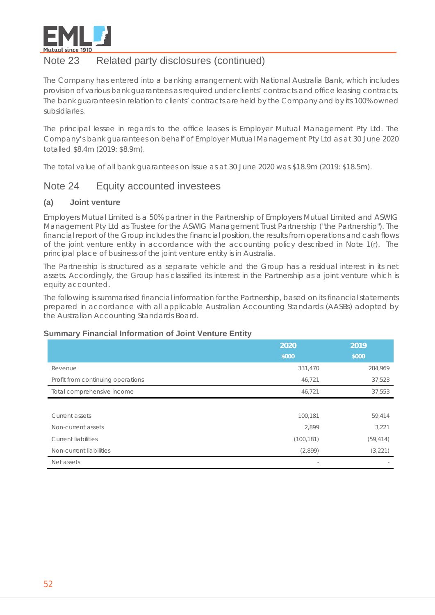

## Note 23 Related party disclosures (continued)

The Company has entered into a banking arrangement with National Australia Bank, which includes provision of various bank guarantees as required under clients' contracts and office leasing contracts. The bank guarantees in relation to clients' contracts are held by the Company and by its 100% owned subsidiaries.

The principal lessee in regards to the office leases is Employer Mutual Management Pty Ltd. The Company's bank guarantees on behalf of Employer Mutual Management Pty Ltd as at 30 June 2020 totalled \$8.4m (2019: \$8.9m).

The total value of all bank guarantees on issue as at 30 June 2020 was \$18.9m (2019: \$18.5m).

## Note 24 Equity accounted investees

#### **(a) Joint venture**

Employers Mutual Limited is a 50% partner in the Partnership of Employers Mutual Limited and ASWIG Management Pty Ltd as Trustee for the ASWIG Management Trust Partnership ("the Partnership"). The financial report of the Group includes the financial position, the results from operations and cash flows of the joint venture entity in accordance with the accounting policy described in Note 1(r). The principal place of business of the joint venture entity is in Australia.

The Partnership is structured as a separate vehicle and the Group has a residual interest in its net assets. Accordingly, the Group has classified its interest in the Partnership as a joint venture which is equity accounted.

The following is summarised financial information for the Partnership, based on its financial statements prepared in accordance with all applicable Australian Accounting Standards (AASBs) adopted by the Australian Accounting Standards Board.

#### **Summary Financial Information of Joint Venture Entity**

|                                   | 2020       | 2019      |
|-----------------------------------|------------|-----------|
|                                   | \$000      | \$000     |
| Revenue                           | 331,470    | 284,969   |
| Profit from continuing operations | 46,721     | 37,523    |
| Total comprehensive income        | 46,721     | 37,553    |
|                                   |            |           |
| Current assets                    | 100,181    | 59,414    |
| Non-current assets                | 2,899      | 3,221     |
| <b>Current liabilities</b>        | (100, 181) | (59, 414) |
| Non-current liabilities           | (2,899)    | (3,221)   |
| Net assets                        | $\sim$     |           |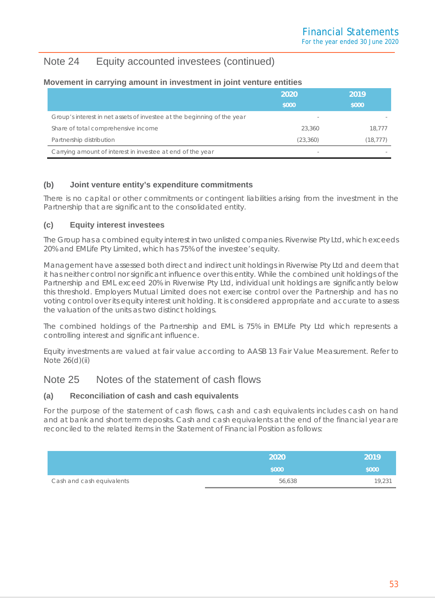## Note 24 Equity accounted investees (continued)

#### **Movement in carrying amount in investment in joint venture entities**

|                                                                         | 2020                     | 2019      |
|-------------------------------------------------------------------------|--------------------------|-----------|
|                                                                         | \$000                    | \$000     |
| Group's interest in net assets of investee at the beginning of the year | $\overline{\phantom{a}}$ |           |
| Share of total comprehensive income                                     | 23,360                   | 18,777    |
| Partnership distribution                                                | (23, 360)                | (18, 777) |
| Carrying amount of interest in investee at end of the year              | $\overline{\phantom{a}}$ |           |

## **(b) Joint venture entity's expenditure commitments**

There is no capital or other commitments or contingent liabilities arising from the investment in the Partnership that are significant to the consolidated entity.

## **(c) Equity interest investees**

The Group has a combined equity interest in two unlisted companies. Riverwise Pty Ltd, which exceeds 20% and EMLife Pty Limited, which has 75% of the investee's equity.

Management have assessed both direct and indirect unit holdings in Riverwise Pty Ltd and deem that it has neither control nor significant influence over this entity. While the combined unit holdings of the Partnership and EML exceed 20% in Riverwise Pty Ltd, individual unit holdings are significantly below this threshold. Employers Mutual Limited does not exercise control over the Partnership and has no voting control over its equity interest unit holding. It is considered appropriate and accurate to assess the valuation of the units as two distinct holdings.

The combined holdings of the Partnership and EML is 75% in EMLife Pty Ltd which represents a controlling interest and significant influence.

Equity investments are valued at fair value according to AASB 13 *Fair Value Measurement*. Refer to Note 26(d)(ii)

## Note 25 Notes of the statement of cash flows

## **(a) Reconciliation of cash and cash equivalents**

For the purpose of the statement of cash flows, cash and cash equivalents includes cash on hand and at bank and short term deposits. Cash and cash equivalents at the end of the financial year are reconciled to the related items in the Statement of Financial Position as follows:

|                           | 2020   | 2019   |
|---------------------------|--------|--------|
|                           | \$000  | \$000  |
| Cash and cash equivalents | 56,638 | 19,231 |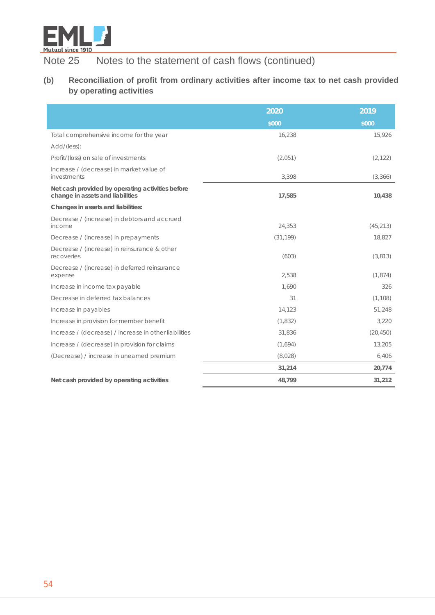

Note 25 Notes to the statement of cash flows (continued)

## **(b) Reconciliation of profit from ordinary activities after income tax to net cash provided by operating activities**

|                                                                                      | 2020      | 2019      |
|--------------------------------------------------------------------------------------|-----------|-----------|
|                                                                                      | \$000     | \$000     |
| Total comprehensive income for the year                                              | 16,238    | 15,926    |
| Add/(less):                                                                          |           |           |
| Profit/(loss) on sale of investments                                                 | (2,051)   | (2, 122)  |
| Increase / (decrease) in market value of<br>investments                              | 3,398     | (3,366)   |
| Net cash provided by operating activities before<br>change in assets and liabilities | 17,585    | 10,438    |
| Changes in assets and liabilities:                                                   |           |           |
| Decrease / (increase) in debtors and accrued<br>income                               | 24,353    | (45, 213) |
| Decrease / (increase) in prepayments                                                 | (31, 199) | 18,827    |
| Decrease / (increase) in reinsurance & other<br>recoveries                           | (603)     | (3,813)   |
| Decrease / (increase) in deferred reinsurance<br>expense                             | 2,538     | (1,874)   |
| Increase in income tax payable                                                       | 1.690     | 326       |
| Decrease in deferred tax balances                                                    | 31        | (1, 108)  |
| Increase in payables                                                                 | 14,123    | 51,248    |
| Increase in provision for member benefit                                             | (1, 832)  | 3,220     |
| Increase / (decrease) / increase in other liabilities                                | 31,836    | (20, 450) |
| Increase / (decrease) in provision for claims                                        | (1,694)   | 13,205    |
| (Decrease) / increase in unearned premium                                            | (8,028)   | 6,406     |
|                                                                                      | 31,214    | 20,774    |
| Net cash provided by operating activities                                            | 48,799    | 31,212    |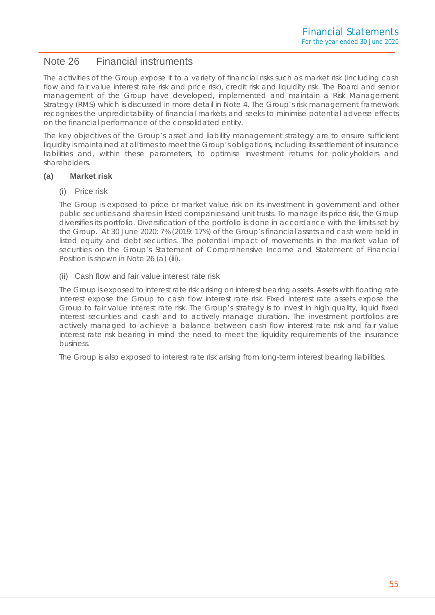## Note 26 Financial instruments

The activities of the Group expose it to a variety of financial risks such as market risk (including cash flow and fair value interest rate risk and price risk), credit risk and liquidity risk. The Board and senior management of the Group have developed, implemented and maintain a Risk Management Strategy (RMS) which is discussed in more detail in Note 4. The Group's risk management framework recognises the unpredictability of financial markets and seeks to minimise potential adverse effects on the financial performance of the consolidated entity.

The key objectives of the Group's asset and liability management strategy are to ensure sufficient liquidity is maintained at all times to meet the Group's obligations, including its settlement of insurance liabilities and, within these parameters, to optimise investment returns for policyholders and shareholders.

#### **(a) Market risk**

#### (i) Price risk

The Group is exposed to price or market value risk on its investment in government and other public securities and shares in listed companies and unit trusts. To manage its price risk, the Group diversifies its portfolio. Diversification of the portfolio is done in accordance with the limits set by the Group. At 30 June 2020: 7% (2019: 17%) of the Group's financial assets and cash were held in listed equity and debt securities. The potential impact of movements in the market value of securities on the Group's Statement of Comprehensive Income and Statement of Financial Position is shown in Note 26 (a) (iii).

#### (ii) Cash flow and fair value interest rate risk

The Group is exposed to interest rate risk arising on interest bearing assets. Assets with floating rate interest expose the Group to cash flow interest rate risk. Fixed interest rate assets expose the Group to fair value interest rate risk. The Group's strategy is to invest in high quality, liquid fixed interest securities and cash and to actively manage duration. The investment portfolios are actively managed to achieve a balance between cash flow interest rate risk and fair value interest rate risk bearing in mind the need to meet the liquidity requirements of the insurance business.

The Group is also exposed to interest rate risk arising from long-term interest bearing liabilities.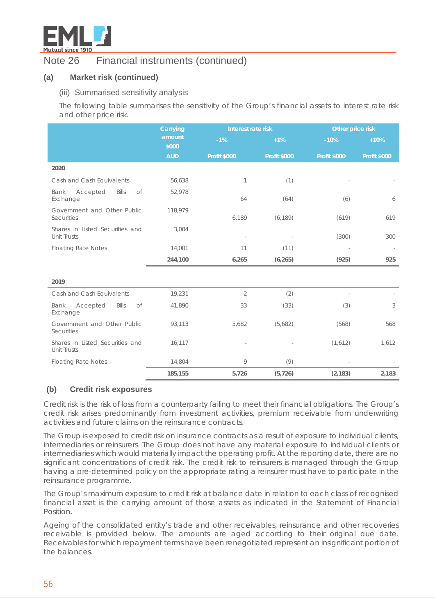

## **(a) Market risk (continued)**

#### (iii) Summarised sensitivity analysis

The following table summarises the sensitivity of the Group's financial assets to interest rate risk and other price risk.

|                                                       | Carrying        |                     | Interest rate risk  |                     |                          |
|-------------------------------------------------------|-----------------|---------------------|---------------------|---------------------|--------------------------|
|                                                       | amount<br>\$000 | $-1%$               | $+1%$               | $-10%$              | $+10%$                   |
|                                                       | <b>AUD</b>      | <b>Profit \$000</b> | <b>Profit \$000</b> | <b>Profit \$000</b> | <b>Profit \$000</b>      |
| 2020                                                  |                 |                     |                     |                     |                          |
| Cash and Cash Equivalents                             | 56,638          | 1                   | (1)                 |                     |                          |
| Accepted<br><b>Bills</b><br>of<br>Bank<br>Exchange    | 52,978          | 64                  | (64)                | (6)                 | 6                        |
| Government and Other Public<br>Securities             | 118,979         | 6,189               | (6, 189)            | (619)               | 619                      |
| Shares in Listed Securities and<br><b>Unit Trusts</b> | 3,004           |                     |                     | (300)               | 300                      |
| <b>Floating Rate Notes</b>                            | 14,001          | 11                  | (11)                |                     | $\overline{\phantom{a}}$ |
|                                                       | 244,100         | 6,265               | (6, 265)            | (925)               | 925                      |
| 2019                                                  |                 |                     |                     |                     |                          |
| Cash and Cash Equivalents                             | 19,231          | $\overline{2}$      | (2)                 |                     |                          |
| Bank<br>Accepted<br><b>Bills</b><br>of<br>Exchange    | 41,890          | 33                  | (33)                | (3)                 | 3                        |
| Government and Other Public<br><b>Securities</b>      | 93,113          | 5,682               | (5,682)             | (568)               | 568                      |
| Shares in Listed Securities and<br>Unit Trusts        | 16,117          |                     |                     | (1,612)             | 1,612                    |
| <b>Floating Rate Notes</b>                            | 14,804          | 9                   | (9)                 |                     |                          |
|                                                       | 185,155         | 5,726               | (5, 726)            | (2, 183)            | 2,183                    |

#### **(b) Credit risk exposures**

Credit risk is the risk of loss from a counterparty failing to meet their financial obligations. The Group's credit risk arises predominantly from investment activities, premium receivable from underwriting activities and future claims on the reinsurance contracts.

The Group is exposed to credit risk on insurance contracts as a result of exposure to individual clients, intermediaries or reinsurers. The Group does not have any material exposure to individual clients or intermediaries which would materially impact the operating profit. At the reporting date, there are no significant concentrations of credit risk. The credit risk to reinsurers is managed through the Group having a pre-determined policy on the appropriate rating a reinsurer must have to participate in the reinsurance programme.

The Group's maximum exposure to credit risk at balance date in relation to each class of recognised financial asset is the carrying amount of those assets as indicated in the Statement of Financial Position.

Ageing of the consolidated entity's trade and other receivables, reinsurance and other recoveries receivable is provided below. The amounts are aged according to their original due date. Receivables for which repayment terms have been renegotiated represent an insignificant portion of the balances.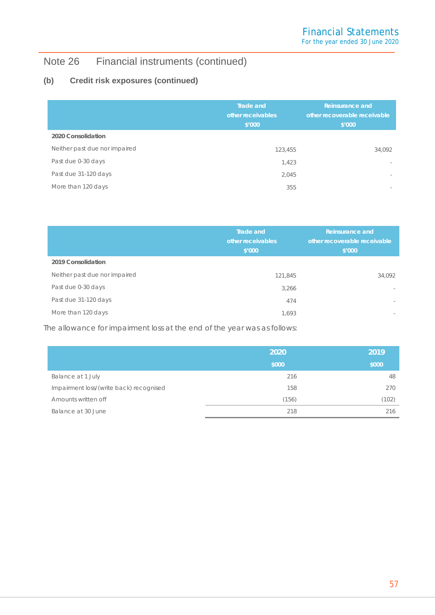## **(b) Credit risk exposures (continued)**

|                               | <b>Trade and</b><br>other receivables<br>\$'000 | <b>Reinsurance and</b><br>other recoverable receivable<br>\$'000 |
|-------------------------------|-------------------------------------------------|------------------------------------------------------------------|
| 2020 Consolidation            |                                                 |                                                                  |
| Neither past due nor impaired | 123,455                                         | 34,092                                                           |
| Past due 0-30 days            | 1,423                                           | $\sim$                                                           |
| Past due 31-120 days          | 2,045                                           | $\sim$                                                           |
| More than 120 days            | 355                                             | $\sim$                                                           |

|                               | Trade and<br><b>Reinsurance and</b><br>other receivables<br>other recoverable receivable<br>\$′000<br>\$′000 |                          |
|-------------------------------|--------------------------------------------------------------------------------------------------------------|--------------------------|
| 2019 Consolidation            |                                                                                                              |                          |
| Neither past due nor impaired | 121,845                                                                                                      | 34,092                   |
| Past due 0-30 days            | 3,266                                                                                                        | $\overline{\phantom{a}}$ |
| Past due 31-120 days          | 474                                                                                                          | $\sim$                   |
| More than 120 days            | 1,693                                                                                                        | $\sim$                   |

The allowance for impairment loss at the end of the year was as follows:

|                                         | 2020  | 2019  |
|-----------------------------------------|-------|-------|
|                                         | \$000 | \$000 |
| Balance at 1 July                       | 216   | 48    |
| Impairment loss/(write back) recognised | 158   | 270   |
| Amounts written off                     | (156) | (102) |
| Balance at 30 June                      | 218   | 216   |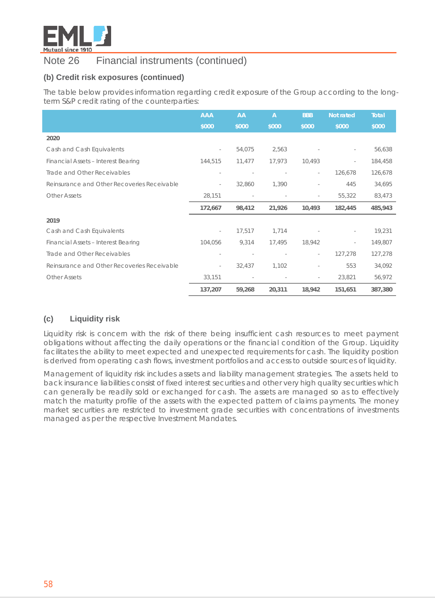

## **(b) Credit risk exposures (continued)**

The table below provides information regarding credit exposure of the Group according to the longterm S&P credit rating of the counterparties:

|                                             | <b>AAA</b>               | AA                       | $\overline{A}$ | <b>BBB</b>               | Not rated | <b>Total</b> |
|---------------------------------------------|--------------------------|--------------------------|----------------|--------------------------|-----------|--------------|
|                                             | \$000                    | \$000                    | \$000          | \$000                    | \$000     | \$000        |
| 2020                                        |                          |                          |                |                          |           |              |
| Cash and Cash Equivalents                   | $\overline{\phantom{a}}$ | 54,075                   | 2,563          |                          |           | 56,638       |
| Financial Assets - Interest Bearing         | 144,515                  | 11,477                   | 17,973         | 10,493                   |           | 184,458      |
| Trade and Other Receivables                 |                          |                          |                | $\equiv$                 | 126,678   | 126,678      |
| Reinsurance and Other Recoveries Receivable | $\sim$                   | 32,860                   | 1,390          | $\sim$                   | 445       | 34,695       |
| <b>Other Assets</b>                         | 28,151                   | $\overline{\phantom{a}}$ | $\sim$         | $\overline{\phantom{a}}$ | 55,322    | 83,473       |
|                                             | 172,667                  | 98,412                   | 21,926         | 10,493                   | 182,445   | 485,943      |
| 2019                                        |                          |                          |                |                          |           |              |
| Cash and Cash Equivalents                   | $\overline{\phantom{a}}$ | 17,517                   | 1,714          |                          |           | 19,231       |
| Financial Assets - Interest Bearing         | 104,056                  | 9,314                    | 17,495         | 18,942                   |           | 149,807      |
| Trade and Other Receivables                 |                          |                          |                | $\overline{\phantom{a}}$ | 127,278   | 127,278      |
| Reinsurance and Other Recoveries Receivable |                          | 32,437                   | 1,102          | $\overline{\phantom{a}}$ | 553       | 34,092       |
| <b>Other Assets</b>                         | 33,151                   | $\overline{\phantom{a}}$ |                | $\sim$                   | 23,821    | 56,972       |
|                                             | 137,207                  | 59,268                   | 20,311         | 18,942                   | 151,651   | 387,380      |

## **(c) Liquidity risk**

Liquidity risk is concern with the risk of there being insufficient cash resources to meet payment obligations without affecting the daily operations or the financial condition of the Group. Liquidity facilitates the ability to meet expected and unexpected requirements for cash. The liquidity position is derived from operating cash flows, investment portfolios and access to outside sources of liquidity.

Management of liquidity risk includes assets and liability management strategies. The assets held to back insurance liabilities consist of fixed interest securities and other very high quality securities which can generally be readily sold or exchanged for cash. The assets are managed so as to effectively match the maturity profile of the assets with the expected pattern of claims payments. The money market securities are restricted to investment grade securities with concentrations of investments managed as per the respective Investment Mandates.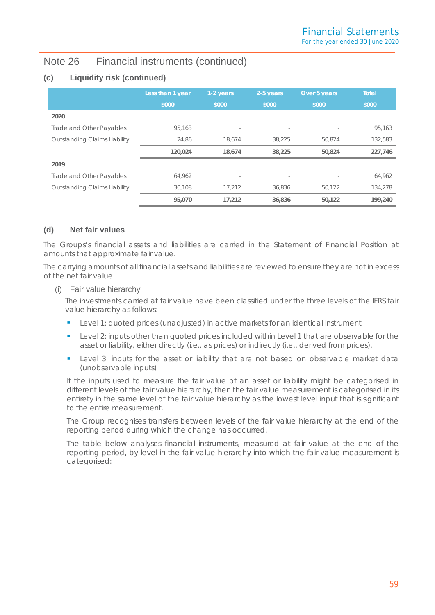## **(c) Liquidity risk (continued)**

|                              | Less than 1 year | 1-2 years                | 2-5 years | Over 5 years | <b>Total</b> |
|------------------------------|------------------|--------------------------|-----------|--------------|--------------|
|                              | \$000            | \$000                    | \$000     | \$000        | \$000        |
| 2020                         |                  |                          |           |              |              |
| Trade and Other Payables     | 95.163           | $\overline{\phantom{a}}$ | $\sim$    |              | 95,163       |
| Outstanding Claims Liability | 24,86            | 18,674                   | 38,225    | 50,824       | 132,583      |
|                              | 120,024          | 18,674                   | 38,225    | 50,824       | 227,746      |
| 2019                         |                  |                          |           |              |              |
| Trade and Other Payables     | 64,962           |                          |           |              | 64,962       |
| Outstanding Claims Liability | 30.108           | 17.212                   | 36,836    | 50,122       | 134,278      |
|                              | 95,070           | 17.212                   | 36,836    | 50,122       | 199,240      |

## **(d) Net fair values**

The Groups's financial assets and liabilities are carried in the Statement of Financial Position at amounts that approximate fair value.

The carrying amounts of all financial assets and liabilities are reviewed to ensure they are not in excess of the net fair value.

#### (i) Fair value hierarchy

The investments carried at fair value have been classified under the three levels of the IFRS fair value hierarchy as follows:

- Level 1: quoted prices (unadjusted) in active markets for an identical instrument
- Level 2: inputs other than quoted prices included within Level 1 that are observable for the asset or liability, either directly (i.e., as prices) or indirectly (i.e., derived from prices).
- **Level 3: inputs for the asset or liability that are not based on observable market data** (unobservable inputs)

If the inputs used to measure the fair value of an asset or liability might be categorised in different levels of the fair value hierarchy, then the fair value measurement is categorised in its entirety in the same level of the fair value hierarchy as the lowest level input that is significant to the entire measurement.

The Group recognises transfers between levels of the fair value hierarchy at the end of the reporting period during which the change has occurred.

The table below analyses financial instruments, measured at fair value at the end of the reporting period, by level in the fair value hierarchy into which the fair value measurement is categorised: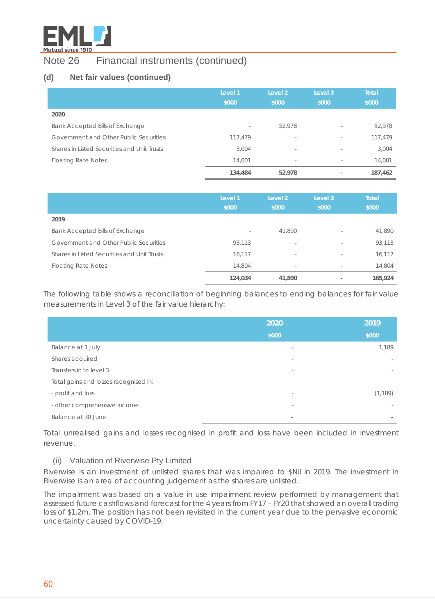

## **(d) Net fair values (continued)**

|                                             | Level 1<br>\$000 | Level <sub>2</sub><br>\$000 | Level 3<br>\$000         | <b>Total</b><br>\$000 |
|---------------------------------------------|------------------|-----------------------------|--------------------------|-----------------------|
| 2020                                        |                  |                             |                          |                       |
| Bank Accepted Bills of Exchange             | $\sim$           | 52,978                      | $\sim$                   | 52,978                |
| Government and Other Public Securities      | 117,479          | $\sim$                      | $\sim$                   | 117,479               |
| Shares in Listed Securities and Unit Trusts | 3,004            | $\sim$                      | $\sim$                   | 3,004                 |
| <b>Floating Rate Notes</b>                  | 14,001           | $\overline{\phantom{a}}$    | $\sim$                   | 14,001                |
|                                             | 134,484          | 52,978                      | $\overline{\phantom{a}}$ | 187,462               |

|                                             | Level 1<br>\$000         | Level 2<br>\$000         | Level 3<br>\$000         | <b>Total</b><br>\$000 |
|---------------------------------------------|--------------------------|--------------------------|--------------------------|-----------------------|
| 2019                                        |                          |                          |                          |                       |
| Bank Accepted Bills of Exchange             | $\overline{\phantom{a}}$ | 41,890                   | $\overline{\phantom{a}}$ | 41,890                |
| Government and Other Public Securities      | 93,113                   | $\overline{\phantom{a}}$ | $\overline{\phantom{a}}$ | 93,113                |
| Shares in Listed Securities and Unit Trusts | 16,117                   | $\overline{\phantom{a}}$ | $\sim$                   | 16,117                |
| <b>Floating Rate Notes</b>                  | 14,804                   | $\sim$                   | $\sim$                   | 14,804                |
|                                             | 124,034                  | 41,890                   |                          | 165,924               |

The following table shows a reconciliation of beginning balances to ending balances for fair value measurements in Level 3 of the fair value hierarchy:

|                                       | 2020                     | 2019     |
|---------------------------------------|--------------------------|----------|
|                                       | \$000                    | \$000    |
| Balance at 1 July                     | $\sim$                   | 1,189    |
| Shares acquired                       | $\overline{\phantom{a}}$ |          |
| Transfers in to level 3               | $\overline{\phantom{a}}$ |          |
| Total gains and losses recognised in: |                          |          |
| - profit and loss                     | $\sim$                   | (1, 189) |
| - other comprehensive income          | $\overline{\phantom{a}}$ |          |
| Balance at 30 June                    | $\overline{\phantom{a}}$ |          |

Total unrealised gains and losses recognised in profit and loss have been included in investment revenue.

## (ii) Valuation of Riverwise Pty Limited

Riverwise is an investment of unlisted shares that was impaired to \$Nil in 2019. The investment in Riverwise is an area of accounting judgement as the shares are unlisted.

The impairment was based on a value in use impairment review performed by management that assessed future cashflows and forecast for the 4 years from FY17 – FY20 that showed an overall trading loss of \$1.2m. The position has not been revisited in the current year due to the pervasive economic uncertainty caused by COVID-19.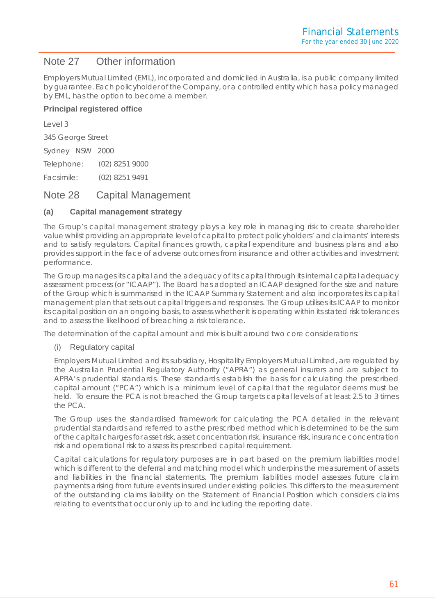## Note 27 Other information

Employers Mutual Limited (EML), incorporated and domiciled in Australia, is a public company limited by guarantee. Each policyholder of the Company, or a controlled entity which has a policy managed by EML, has the option to become a member.

## **Principal registered office**

Level 3

345 George Street

Sydney NSW 2000

Telephone: (02) 8251 9000

Facsimile: (02) 8251 9491

## Note 28 Capital Management

## **(a) Capital management strategy**

The Group's capital management strategy plays a key role in managing risk to create shareholder value whilst providing an appropriate level of capital to protect policyholders' and claimants' interests and to satisfy regulators. Capital finances growth, capital expenditure and business plans and also provides support in the face of adverse outcomes from insurance and other activities and investment performance.

The Group manages its capital and the adequacy of its capital through its internal capital adequacy assessment process (or "ICAAP"). The Board has adopted an ICAAP designed for the size and nature of the Group which is summarised in the ICAAP Summary Statement and also incorporates its capital management plan that sets out capital triggers and responses. The Group utilises its ICAAP to monitor its capital position on an ongoing basis, to assess whether it is operating within its stated risk tolerances and to assess the likelihood of breaching a risk tolerance.

The determination of the capital amount and mix is built around two core considerations:

## (i) Regulatory capital

Employers Mutual Limited and its subsidiary, Hospitality Employers Mutual Limited, are regulated by the Australian Prudential Regulatory Authority ("APRA") as general insurers and are subject to APRA's prudential standards. These standards establish the basis for calculating the prescribed capital amount ("PCA") which is a minimum level of capital that the regulator deems must be held. To ensure the PCA is not breached the Group targets capital levels of at least 2.5 to 3 times the PCA.

The Group uses the standardised framework for calculating the PCA detailed in the relevant prudential standards and referred to as the prescribed method which is determined to be the sum of the capital charges for asset risk, asset concentration risk, insurance risk, insurance concentration risk and operational risk to assess its prescribed capital requirement.

Capital calculations for regulatory purposes are in part based on the premium liabilities model which is different to the deferral and matching model which underpins the measurement of assets and liabilities in the financial statements. The premium liabilities model assesses future claim payments arising from future events insured under existing policies. This differs to the measurement of the outstanding claims liability on the Statement of Financial Position which considers claims relating to events that occur only up to and including the reporting date.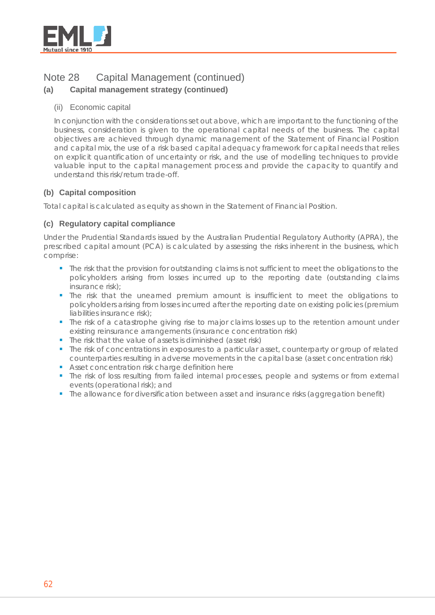

## Note 28 Capital Management (continued)

## **(a) Capital management strategy (continued)**

## (ii) Economic capital

In conjunction with the considerations set out above, which are important to the functioning of the business, consideration is given to the operational capital needs of the business. The capital objectives are achieved through dynamic management of the Statement of Financial Position and capital mix, the use of a risk based capital adequacy framework for capital needs that relies on explicit quantification of uncertainty or risk, and the use of modelling techniques to provide valuable input to the capital management process and provide the capacity to quantify and understand this risk/return trade-off.

## **(b) Capital composition**

Total capital is calculated as equity as shown in the Statement of Financial Position.

## **(c) Regulatory capital compliance**

Under the Prudential Standards issued by the Australian Prudential Regulatory Authority (APRA), the prescribed capital amount (PCA) is calculated by assessing the risks inherent in the business, which comprise:

- The risk that the provision for outstanding claims is not sufficient to meet the obligations to the policyholders arising from losses incurred up to the reporting date (outstanding claims insurance risk);
- The risk that the unearned premium amount is insufficient to meet the obligations to policyholders arising from losses incurred after the reporting date on existing policies (premium liabilities insurance risk);
- The risk of a catastrophe giving rise to major claims losses up to the retention amount under existing reinsurance arrangements (insurance concentration risk)
- The risk that the value of assets is diminished (asset risk)
- The risk of concentrations in exposures to a particular asset, counterparty or group of related counterparties resulting in adverse movements in the capital base (asset concentration risk)
- Asset concentration risk charge definition here
- The risk of loss resulting from failed internal processes, people and systems or from external events (operational risk); and
- The allowance for diversification between asset and insurance risks (aggregation benefit)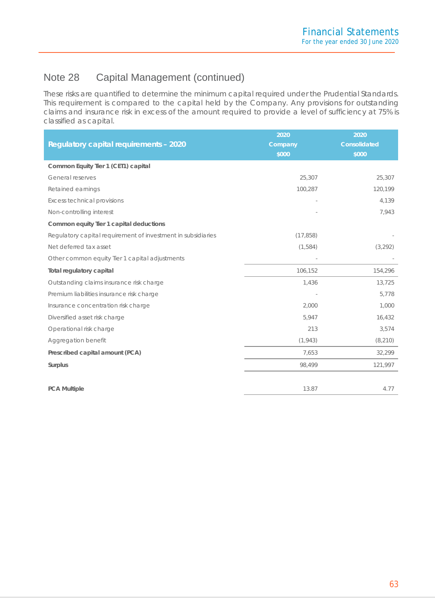## Note 28 Capital Management (continued)

These risks are quantified to determine the minimum capital required under the Prudential Standards. This requirement is compared to the capital held by the Company. Any provisions for outstanding claims and insurance risk in excess of the amount required to provide a level of sufficiency at 75% is classified as capital.

|                                                              | 2020      | 2020         |
|--------------------------------------------------------------|-----------|--------------|
| <b>Regulatory capital requirements - 2020</b>                | Company   | Consolidated |
|                                                              | \$000     | \$000        |
| Common Equity Tier 1 (CET1) capital                          |           |              |
| General reserves                                             | 25,307    | 25,307       |
| Retained earnings                                            | 100,287   | 120,199      |
| <b>Excess technical provisions</b>                           |           | 4,139        |
| Non-controlling interest                                     |           | 7,943        |
| Common equity Tier 1 capital deductions                      |           |              |
| Regulatory capital requirement of investment in subsidiaries | (17, 858) |              |
| Net deferred tax asset                                       | (1,584)   | (3, 292)     |
| Other common equity Tier 1 capital adjustments               |           |              |
| <b>Total regulatory capital</b>                              | 106,152   | 154,296      |
| Outstanding claims insurance risk charge                     | 1,436     | 13,725       |
| Premium liabilities insurance risk charge                    |           | 5,778        |
| Insurance concentration risk charge                          | 2,000     | 1,000        |
| Diversified asset risk charge                                | 5,947     | 16,432       |
| Operational risk charge                                      | 213       | 3,574        |
| Aggregation benefit                                          | (1, 943)  | (8, 210)     |
| Prescribed capital amount (PCA)                              | 7,653     | 32,299       |
| Surplus                                                      | 98,499    | 121,997      |
|                                                              |           |              |
| <b>PCA Multiple</b>                                          | 13.87     | 4.77         |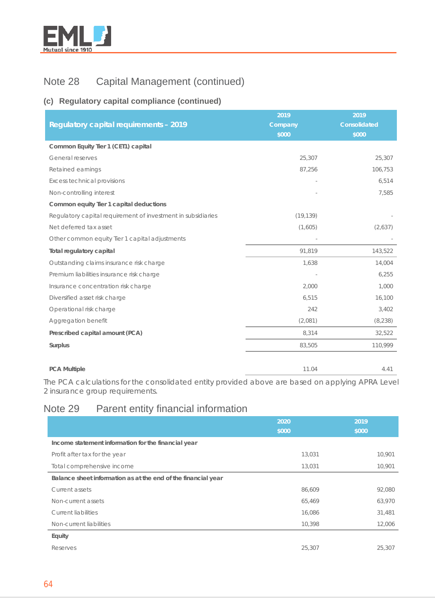

# Note 28 Capital Management (continued)

## **(c) Regulatory capital compliance (continued)**

| <b>Regulatory capital requirements - 2019</b>                | 2019<br>Company | 2019<br><b>Consolidated</b> |
|--------------------------------------------------------------|-----------------|-----------------------------|
|                                                              | \$000           | \$000                       |
| Common Equity Tier 1 (CET1) capital                          |                 |                             |
| General reserves                                             | 25,307          | 25,307                      |
| Retained earnings                                            | 87,256          | 106,753                     |
| <b>Excess technical provisions</b>                           |                 | 6,514                       |
| Non-controlling interest                                     |                 | 7,585                       |
| Common equity Tier 1 capital deductions                      |                 |                             |
| Regulatory capital requirement of investment in subsidiaries | (19, 139)       |                             |
| Net deferred tax asset                                       | (1,605)         | (2,637)                     |
| Other common equity Tier 1 capital adjustments               |                 |                             |
| Total regulatory capital                                     | 91,819          | 143,522                     |
| Outstanding claims insurance risk charge                     | 1,638           | 14,004                      |
| Premium liabilities insurance risk charge                    |                 | 6,255                       |
| Insurance concentration risk charge                          | 2,000           | 1,000                       |
| Diversified asset risk charge                                | 6,515           | 16,100                      |
| Operational risk charge                                      | 242             | 3,402                       |
| Aggregation benefit                                          | (2,081)         | (8, 238)                    |
| Prescribed capital amount (PCA)                              | 8,314           | 32,522                      |
| Surplus                                                      | 83,505          | 110,999                     |
| <b>PCA Multiple</b>                                          | 11.04           | 4.41                        |

The PCA calculations for the consolidated entity provided above are based on applying APRA Level 2 insurance group requirements.

# Note 29 Parent entity financial information

|                                                               | 2020<br>\$000 | 2019<br>\$000 |
|---------------------------------------------------------------|---------------|---------------|
| Income statement information for the financial year           |               |               |
| Profit after tax for the year                                 | 13,031        | 10,901        |
| Total comprehensive income                                    | 13,031        | 10,901        |
| Balance sheet information as at the end of the financial year |               |               |
| Current assets                                                | 86,609        | 92,080        |
| Non-current assets                                            | 65,469        | 63,970        |
| <b>Current liabilities</b>                                    | 16,086        | 31,481        |
| Non-current liabilities                                       | 10,398        | 12,006        |
| Equity                                                        |               |               |
| Reserves                                                      | 25,307        | 25,307        |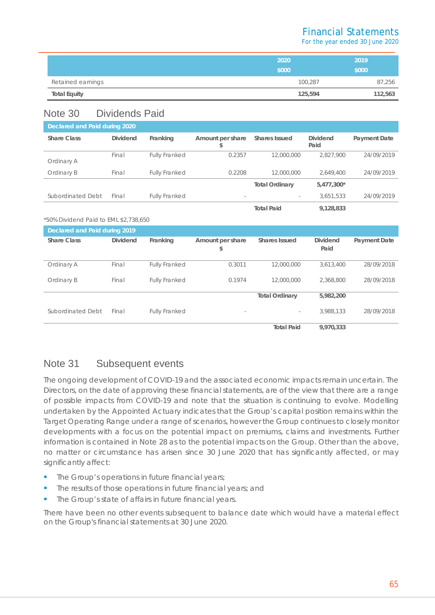## Financial Statements

For the year ended 30 June 2020

|                     | 2020    | 2019    |
|---------------------|---------|---------|
|                     | \$000   | \$000   |
| Retained earnings   | 100,287 | 87,256  |
| <b>Total Equity</b> | 125,594 | 112,563 |

## Note 30 Dividends Paid

| Declared and Paid during 2020 |                 |                      |                          |                          |                         |              |
|-------------------------------|-----------------|----------------------|--------------------------|--------------------------|-------------------------|--------------|
| <b>Share Class</b>            | <b>Dividend</b> | Franking             | Amount per share<br>S    | <b>Shares Issued</b>     | <b>Dividend</b><br>Paid | Payment Date |
| Ordinary A                    | Final           | <b>Fully Franked</b> | 0.2357                   | 12,000,000               | 2.827.900               | 24/09/2019   |
| Ordinary B                    | Final           | <b>Fully Franked</b> | 0.2208                   | 12,000,000               | 2.649.400               | 24/09/2019   |
|                               |                 |                      |                          | <b>Total Ordinary</b>    | 5,477,300*              |              |
| Subordinated Debt             | Final           | <b>Fully Franked</b> | $\overline{\phantom{a}}$ | $\overline{\phantom{0}}$ | 3,651,533               | 24/09/2019   |
|                               |                 |                      |                          | <b>Total Paid</b>        | 9,128,833               |              |

#### \*50% Dividend Paid to EML \$2,738,650

| Declared and Paid during 2019 |                 |                      |                          |                       |                 |              |
|-------------------------------|-----------------|----------------------|--------------------------|-----------------------|-----------------|--------------|
| <b>Share Class</b>            | <b>Dividend</b> | Franking             | Amount per share         | <b>Shares Issued</b>  | <b>Dividend</b> | Payment Date |
|                               |                 |                      | \$                       |                       | Paid            |              |
|                               |                 |                      |                          |                       |                 |              |
| Ordinary A                    | Final           | <b>Fully Franked</b> | 0.3011                   | 12,000,000            | 3.613.400       | 28/09/2018   |
| Ordinary B                    | Final           | <b>Fully Franked</b> | 0.1974                   | 12,000,000            | 2,368,800       | 28/09/2018   |
|                               |                 |                      |                          |                       |                 |              |
|                               |                 |                      |                          | <b>Total Ordinary</b> | 5,982,200       |              |
|                               |                 |                      |                          |                       |                 |              |
| Subordinated Debt             | Final           | <b>Fully Franked</b> | $\overline{\phantom{a}}$ | $\sim$                | 3.988.133       | 28/09/2018   |
|                               |                 |                      |                          | <b>Total Paid</b>     | 9.970.333       |              |

## Note 31 Subsequent events

The ongoing development of COVID-19 and the associated economic impacts remain uncertain. The Directors, on the date of approving these financial statements, are of the view that there are a range of possible impacts from COVID-19 and note that the situation is continuing to evolve. Modelling undertaken by the Appointed Actuary indicates that the Group's capital position remains within the Target Operating Range under a range of scenarios, however the Group continues to closely monitor developments with a focus on the potential impact on premiums, claims and investments. Further information is contained in Note 28 as to the potential impacts on the Group. Other than the above, no matter or circumstance has arisen since 30 June 2020 that has significantly affected, or may significantly affect:

- The Group's operations in future financial years;
- **The results of those operations in future financial years; and**
- The Group's state of affairs in future financial years.

There have been no other events subsequent to balance date which would have a material effect on the Group's financial statements at 30 June 2020.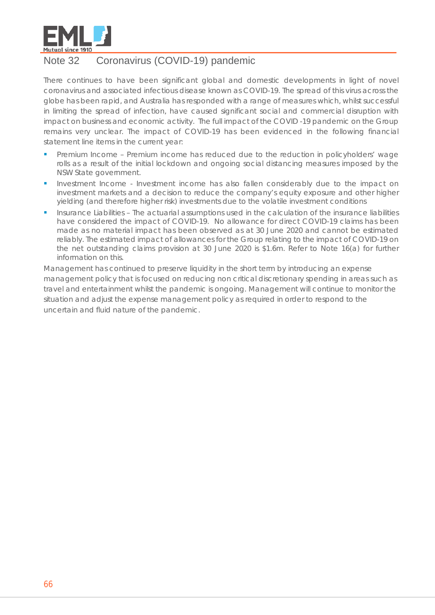

## Note 32 Coronavirus (COVID-19) pandemic

There continues to have been significant global and domestic developments in light of novel coronavirus and associated infectious disease known as COVID-19. The spread of this virus across the globe has been rapid, and Australia has responded with a range of measures which, whilst successful in limiting the spread of infection, have caused significant social and commercial disruption with impact on business and economic activity. The full impact of the COVID -19 pandemic on the Group remains very unclear. The impact of COVID-19 has been evidenced in the following financial statement line items in the current year:

- Premium Income Premium income has reduced due to the reduction in policyholders' wage rolls as a result of the initial lockdown and ongoing social distancing measures imposed by the NSW State government.
- Investment Income Investment income has also fallen considerably due to the impact on investment markets and a decision to reduce the company's equity exposure and other higher yielding (and therefore higher risk) investments due to the volatile investment conditions
- Insurance Liabilities The actuarial assumptions used in the calculation of the insurance liabilities have considered the impact of COVID-19. No allowance for direct COVID-19 claims has been made as no material impact has been observed as at 30 June 2020 and cannot be estimated reliably. The estimated impact of allowances for the Group relating to the impact of COVID-19 on the net outstanding claims provision at 30 June 2020 is \$1.6m. Refer to Note 16(a) for further information on this.

Management has continued to preserve liquidity in the short term by introducing an expense management policy that is focused on reducing non critical discretionary spending in areas such as travel and entertainment whilst the pandemic is ongoing. Management will continue to monitor the situation and adjust the expense management policy as required in order to respond to the uncertain and fluid nature of the pandemic.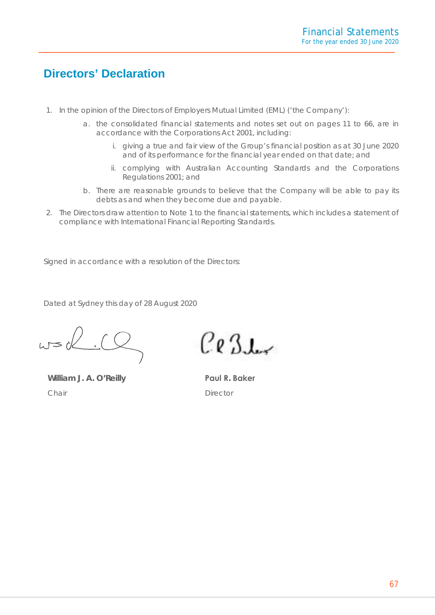# **Directors' Declaration**

- 1. In the opinion of the Directors of Employers Mutual Limited (EML) ('the Company'):
	- a. the consolidated financial statements and notes set out on pages 11 to 66, are in accordance with the Corporations Act 2001, including:
		- i. giving a true and fair view of the Group's financial position as at 30 June 2020 and of its performance for the financial year ended on that date; and
		- ii. complying with Australian Accounting Standards and the Corporations Regulations 2001; and
	- b. There are reasonable grounds to believe that the Company will be able to pay its debts as and when they become due and payable.
- 2. The Directors draw attention to Note 1 to the financial statements, which includes a statement of compliance with International Financial Reporting Standards.

Signed in accordance with a resolution of the Directors:

Dated at Sydney this day of 28 August 2020

 $w=0$ 

**William J. A. O'Reilly** *Chair*

 $Ce3L$ 

**Paul R. Baker** *Director*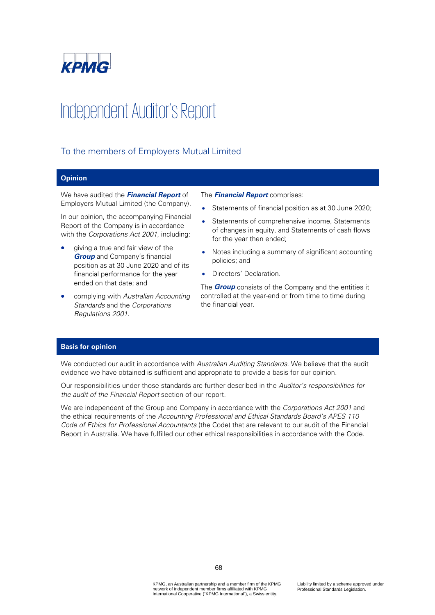

# Independent Auditor's Report

## To the members of Employers Mutual Limited

#### **Opinion**

We have audited the **Financial Report** of Employers Mutual Limited (the Company).

In our opinion, the accompanying Financial Report of the Company is in accordance with the Corporations Act 2001, including:

- giving a true and fair view of the **Group** and Company's financial position as at 30 June 2020 and of its financial performance for the year ended on that date; and
- complying with Australian Accounting Standards and the Corporations Regulations 2001.

#### The **Financial Report** comprises:

- Statements of financial position as at 30 June 2020;
- Statements of comprehensive income, Statements of changes in equity, and Statements of cash flows for the year then ended;
- Notes including a summary of significant accounting policies; and
- Directors' Declaration.

The **Group** consists of the Company and the entities it controlled at the year-end or from time to time during the financial year.

#### **Basis for opinion**

We conducted our audit in accordance with Australian Auditing Standards. We believe that the audit evidence we have obtained is sufficient and appropriate to provide a basis for our opinion.

Our responsibilities under those standards are further described in the Auditor's responsibilities for the audit of the Financial Report section of our report.

We are independent of the Group and Company in accordance with the Corporations Act 2001 and the ethical requirements of the Accounting Professional and Ethical Standards Board's APES 110 Code of Ethics for Professional Accountants (the Code) that are relevant to our audit of the Financial Report in Australia. We have fulfilled our other ethical responsibilities in accordance with the Code.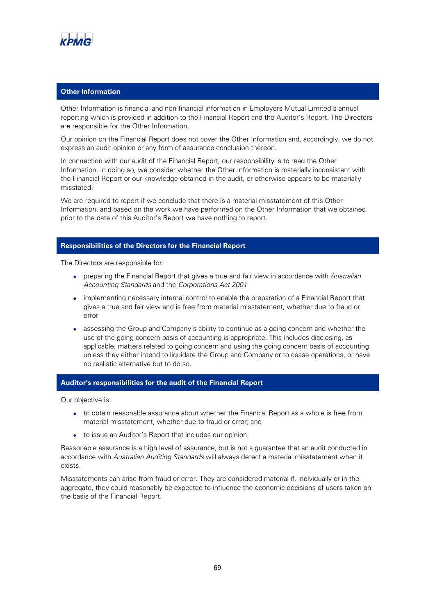

#### **Other Information**

Other Information is financial and non-financial information in Employers Mutual Limited's annual reporting which is provided in addition to the Financial Report and the Auditor's Report. The Directors are responsible for the Other Information.

Our opinion on the Financial Report does not cover the Other Information and, accordingly, we do not express an audit opinion or any form of assurance conclusion thereon.

In connection with our audit of the Financial Report, our responsibility is to read the Other Information. In doing so, we consider whether the Other Information is materially inconsistent with the Financial Report or our knowledge obtained in the audit, or otherwise appears to be materially misstated.

We are required to report if we conclude that there is a material misstatement of this Other Information, and based on the work we have performed on the Other Information that we obtained prior to the date of this Auditor's Report we have nothing to report.

#### **Responsibilities of the Directors for the Financial Report**

The Directors are responsible for:

- preparing the Financial Report that gives a true and fair view in accordance with Australian Accounting Standards and the Corporations Act 2001
- implementing necessary internal control to enable the preparation of a Financial Report that gives a true and fair view and is free from material misstatement, whether due to fraud or error
- assessing the Group and Company's ability to continue as a going concern and whether the use of the going concern basis of accounting is appropriate. This includes disclosing, as applicable, matters related to going concern and using the going concern basis of accounting unless they either intend to liquidate the Group and Company or to cease operations, or have no realistic alternative but to do so.

#### **Auditor's responsibilities for the audit of the Financial Report**

Our objective is:

- to obtain reasonable assurance about whether the Financial Report as a whole is free from material misstatement, whether due to fraud or error; and
- to issue an Auditor's Report that includes our opinion.

Reasonable assurance is a high level of assurance, but is not a guarantee that an audit conducted in accordance with Australian Auditing Standards will always detect a material misstatement when it exists.

Misstatements can arise from fraud or error. They are considered material if, individually or in the aggregate, they could reasonably be expected to influence the economic decisions of users taken on the basis of the Financial Report.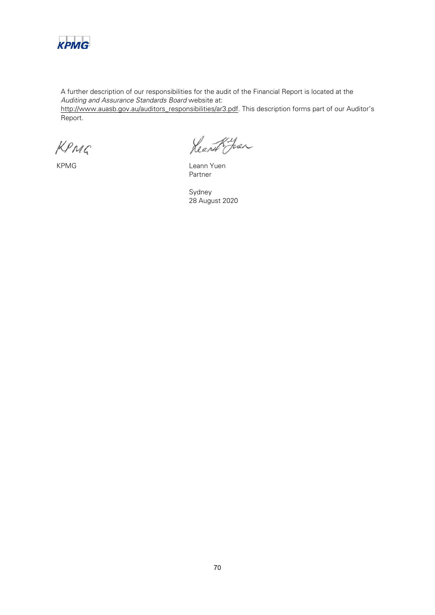

A further description of our responsibilities for the audit of the Financial Report is located at the Auditing and Assurance Standards Board website at: http://www.auasb.gov.au/auditors\_responsibilities/ar3.pdf. This description forms part of our Auditor's Report.

KPMG

Rearch Juan

KPMG Leann Yuen Partner

Sydney 28 August 2020